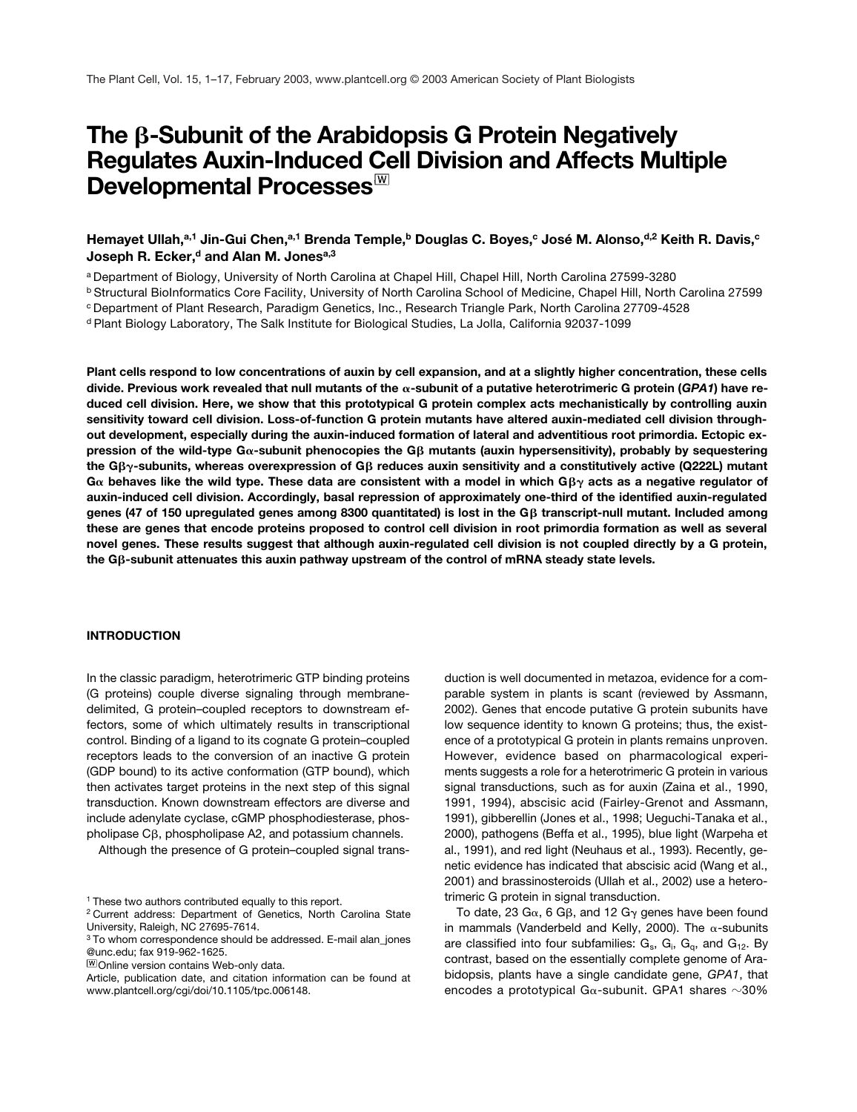# The β-Subunit of the Arabidopsis G Protein Negatively **Regulates Auxin-Induced Cell Division and Affects Multiple Developmental Processes**

# Hemayet Ullah,<sup>a,1</sup> Jin-Gui Chen,<sup>a,1</sup> Brenda Temple,<sup>b</sup> Douglas C. Boyes,<sup>c</sup> José M. Alonso,<sup>d,2</sup> Keith R. Davis,<sup>c</sup> Joseph R. Ecker,<sup>d</sup> and Alan M. Jones<sup>a,3</sup>

<sup>a</sup> Department of Biology, University of North Carolina at Chapel Hill, Chapel Hill, North Carolina 27599-3280

<sup>b</sup> Structural BioInformatics Core Facility, University of North Carolina School of Medicine, Chapel Hill, North Carolina 27599

<sup>c</sup> Department of Plant Research, Paradigm Genetics, Inc., Research Triangle Park, North Carolina 27709-4528

<sup>d</sup> Plant Biology Laboratory, The Salk Institute for Biological Studies, La Jolla, California 92037-1099

**Plant cells respond to low concentrations of auxin by cell expansion, and at a slightly higher concentration, these cells divide. Previous work revealed that null mutants of the -subunit of a putative heterotrimeric G protein (***GPA1***) have reduced cell division. Here, we show that this prototypical G protein complex acts mechanistically by controlling auxin sensitivity toward cell division. Loss-of-function G protein mutants have altered auxin-mediated cell division throughout development, especially during the auxin-induced formation of lateral and adventitious root primordia. Ectopic ex**pression of the wild-type Gα-subunit phenocopies the Gβ mutants (auxin hypersensitivity), probably by sequestering the Gβ<sub>Ύ</sub>-subunits, whereas overexpression of Gβ reduces auxin sensitivity and a constitutively active (Q222L) mutant **G behaves like the wild type. These data are consistent with a model in which G**- **acts as a negative regulator of auxin-induced cell division. Accordingly, basal repression of approximately one-third of the identified auxin-regulated genes (47 of 150 upregulated genes among 8300 quantitated) is lost in the G**- **transcript-null mutant. Included among these are genes that encode proteins proposed to control cell division in root primordia formation as well as several novel genes. These results suggest that although auxin-regulated cell division is not coupled directly by a G protein, the G**-**-subunit attenuates this auxin pathway upstream of the control of mRNA steady state levels.**

### **INTRODUCTION**

In the classic paradigm, heterotrimeric GTP binding proteins (G proteins) couple diverse signaling through membranedelimited, G protein–coupled receptors to downstream effectors, some of which ultimately results in transcriptional control. Binding of a ligand to its cognate G protein–coupled receptors leads to the conversion of an inactive G protein (GDP bound) to its active conformation (GTP bound), which then activates target proteins in the next step of this signal transduction. Known downstream effectors are diverse and include adenylate cyclase, cGMP phosphodiesterase, phos $pholipase C<sub>\beta</sub>$ , phospholipase A2, and potassium channels.

Although the presence of G protein–coupled signal trans-

duction is well documented in metazoa, evidence for a comparable system in plants is scant (reviewed by Assmann, 2002). Genes that encode putative G protein subunits have low sequence identity to known G proteins; thus, the existence of a prototypical G protein in plants remains unproven. However, evidence based on pharmacological experiments suggests a role for a heterotrimeric G protein in various signal transductions, such as for auxin (Zaina et al., 1990, 1991, 1994), abscisic acid (Fairley-Grenot and Assmann, 1991), gibberellin (Jones et al., 1998; Ueguchi-Tanaka et al., 2000), pathogens (Beffa et al., 1995), blue light (Warpeha et al., 1991), and red light (Neuhaus et al., 1993). Recently, genetic evidence has indicated that abscisic acid (Wang et al., 2001) and brassinosteroids (Ullah et al., 2002) use a heterotrimeric G protein in signal transduction.

To date, 23 G $\alpha$ , 6 G $\beta$ , and 12 G $\gamma$  genes have been found in mammals (Vanderbeld and Kelly, 2000). The  $\alpha$ -subunits are classified into four subfamilies:  $\mathsf{G}_{\mathrm{s}}$ ,  $\mathsf{G}_{\mathrm{i}}$ ,  $\mathsf{G}_{\mathrm{q}}$ , and  $\mathsf{G}_{\mathrm{12}}$ . By contrast, based on the essentially complete genome of Arabidopsis, plants have a single candidate gene, *GPA1*, that encodes a prototypical G $\alpha$ -subunit. GPA1 shares  $\sim$ 30%

<sup>1</sup> These two authors contributed equally to this report.

<sup>2</sup> Current address: Department of Genetics, North Carolina State University, Raleigh, NC 27695-7614.

<sup>3</sup> To whom correspondence should be addressed. E-mail alan\_jones @unc.edu; fax 919-962-1625.

**WOnline version contains Web-only data.** 

Article, publication date, and citation information can be found at www.plantcell.org/cgi/doi/10.1105/tpc.006148.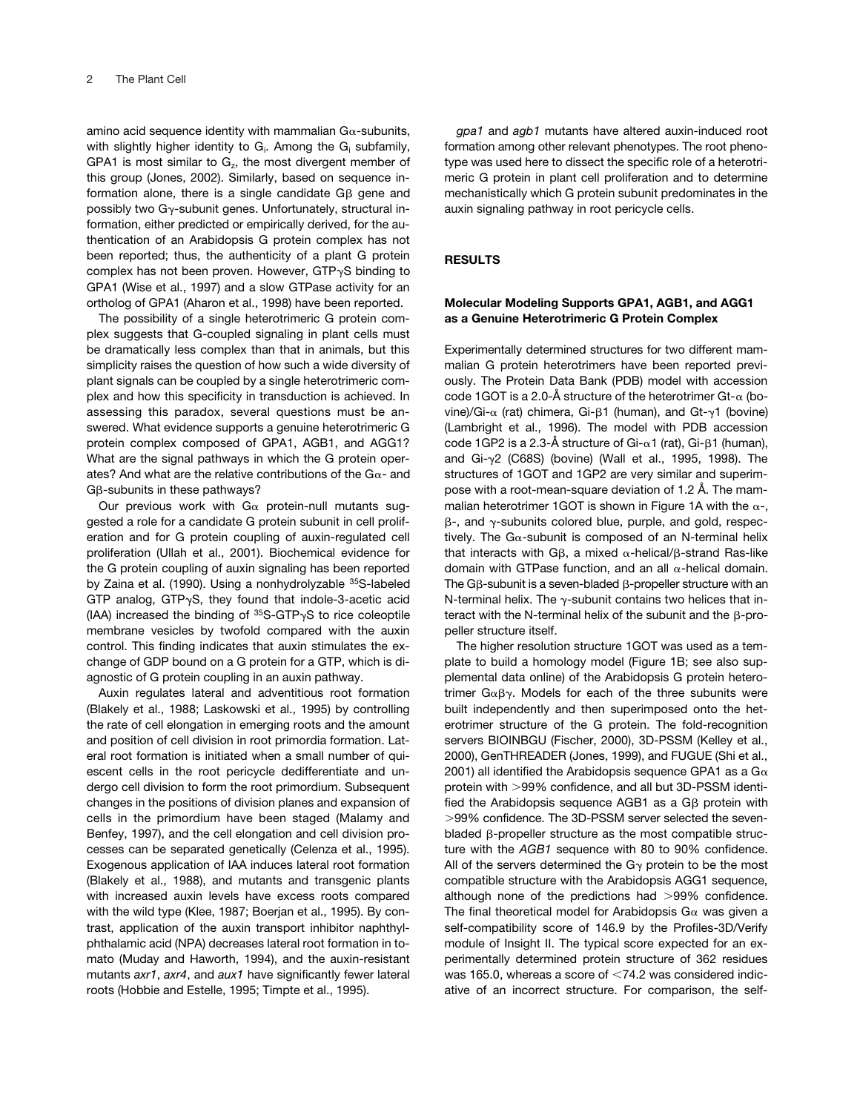amino acid sequence identity with mammalian  $G_{\alpha}$ -subunits, with slightly higher identity to  $G_i$ . Among the  $G_i$  subfamily, GPA1 is most similar to  $G<sub>z</sub>$ , the most divergent member of this group (Jones, 2002). Similarly, based on sequence information alone, there is a single candidate G $\beta$  gene and possibly two G $\gamma$ -subunit genes. Unfortunately, structural information, either predicted or empirically derived, for the authentication of an Arabidopsis G protein complex has not been reported; thus, the authenticity of a plant G protein complex has not been proven. However, GTP $\gamma$ S binding to GPA1 (Wise et al., 1997) and a slow GTPase activity for an ortholog of GPA1 (Aharon et al., 1998) have been reported.

The possibility of a single heterotrimeric G protein complex suggests that G-coupled signaling in plant cells must be dramatically less complex than that in animals, but this simplicity raises the question of how such a wide diversity of plant signals can be coupled by a single heterotrimeric complex and how this specificity in transduction is achieved. In assessing this paradox, several questions must be answered. What evidence supports a genuine heterotrimeric G protein complex composed of GPA1, AGB1, and AGG1? What are the signal pathways in which the G protein operates? And what are the relative contributions of the G $\alpha$ - and  $G\beta$ -subunits in these pathways?

Our previous work with  $Ga$  protein-null mutants suggested a role for a candidate G protein subunit in cell proliferation and for G protein coupling of auxin-regulated cell proliferation (Ullah et al., 2001). Biochemical evidence for the G protein coupling of auxin signaling has been reported by Zaina et al. (1990). Using a nonhydrolyzable 35S-labeled GTP analog, GTP $\gamma$ S, they found that indole-3-acetic acid (IAA) increased the binding of  $35S$ -GTP $\gamma$ S to rice coleoptile membrane vesicles by twofold compared with the auxin control. This finding indicates that auxin stimulates the exchange of GDP bound on a G protein for a GTP, which is diagnostic of G protein coupling in an auxin pathway.

Auxin regulates lateral and adventitious root formation (Blakely et al., 1988; Laskowski et al., 1995) by controlling the rate of cell elongation in emerging roots and the amount and position of cell division in root primordia formation. Lateral root formation is initiated when a small number of quiescent cells in the root pericycle dedifferentiate and undergo cell division to form the root primordium. Subsequent changes in the positions of division planes and expansion of cells in the primordium have been staged (Malamy and Benfey, 1997), and the cell elongation and cell division processes can be separated genetically (Celenza et al., 1995). Exogenous application of IAA induces lateral root formation (Blakely et al., 1988), and mutants and transgenic plants with increased auxin levels have excess roots compared with the wild type (Klee, 1987; Boerjan et al., 1995). By contrast, application of the auxin transport inhibitor naphthylphthalamic acid (NPA) decreases lateral root formation in tomato (Muday and Haworth, 1994), and the auxin-resistant mutants *axr1*, *axr4*, and *aux1* have significantly fewer lateral roots (Hobbie and Estelle, 1995; Timpte et al., 1995).

*gpa1* and *agb1* mutants have altered auxin-induced root formation among other relevant phenotypes. The root phenotype was used here to dissect the specific role of a heterotrimeric G protein in plant cell proliferation and to determine mechanistically which G protein subunit predominates in the auxin signaling pathway in root pericycle cells.

# **RESULTS**

## **Molecular Modeling Supports GPA1, AGB1, and AGG1 as a Genuine Heterotrimeric G Protein Complex**

Experimentally determined structures for two different mammalian G protein heterotrimers have been reported previously. The Protein Data Bank (PDB) model with accession code 1GOT is a 2.0-Å structure of the heterotrimer Gt- $\alpha$  (bovine)/Gi-α (rat) chimera, Gi-β1 (human), and Gt-γ1 (bovine) (Lambright et al., 1996). The model with PDB accession code 1GP2 is a 2.3-Å structure of Gi- $\alpha$ 1 (rat), Gi- $\beta$ 1 (human), and  $Gi-\gamma2$  (C68S) (bovine) (Wall et al., 1995, 1998). The structures of 1GOT and 1GP2 are very similar and superimpose with a root-mean-square deviation of 1.2 Å. The mammalian heterotrimer 1GOT is shown in Figure 1A with the  $\alpha$ -,  $\beta$ -, and  $\gamma$ -subunits colored blue, purple, and gold, respectively. The G $\alpha$ -subunit is composed of an N-terminal helix that interacts with G $\beta$ , a mixed  $\alpha$ -helical/ $\beta$ -strand Ras-like domain with GTPase function, and an all  $\alpha$ -helical domain. The G $\beta$ -subunit is a seven-bladed  $\beta$ -propeller structure with an N-terminal helix. The  $\gamma$ -subunit contains two helices that interact with the N-terminal helix of the subunit and the  $\beta$ -propeller structure itself.

The higher resolution structure 1GOT was used as a template to build a homology model (Figure 1B; see also supplemental data online) of the Arabidopsis G protein heterotrimer  $G\alpha\beta\gamma$ . Models for each of the three subunits were built independently and then superimposed onto the heterotrimer structure of the G protein. The fold-recognition servers BIOINBGU (Fischer, 2000), 3D-PSSM (Kelley et al., 2000), GenTHREADER (Jones, 1999), and FUGUE (Shi et al., 2001) all identified the Arabidopsis sequence GPA1 as a  $G\alpha$ protein with 99% confidence, and all but 3D-PSSM identified the Arabidopsis sequence AGB1 as a G $\beta$  protein with 99% confidence. The 3D-PSSM server selected the sevenbladed  $\beta$ -propeller structure as the most compatible structure with the *AGB1* sequence with 80 to 90% confidence. All of the servers determined the  $G_{\gamma}$  protein to be the most compatible structure with the Arabidopsis AGG1 sequence, although none of the predictions had  $>99\%$  confidence. The final theoretical model for Arabidopsis  $Ga$  was given a self-compatibility score of 146.9 by the Profiles-3D/Verify module of Insight II. The typical score expected for an experimentally determined protein structure of 362 residues was 165.0, whereas a score of  $<$ 74.2 was considered indicative of an incorrect structure. For comparison, the self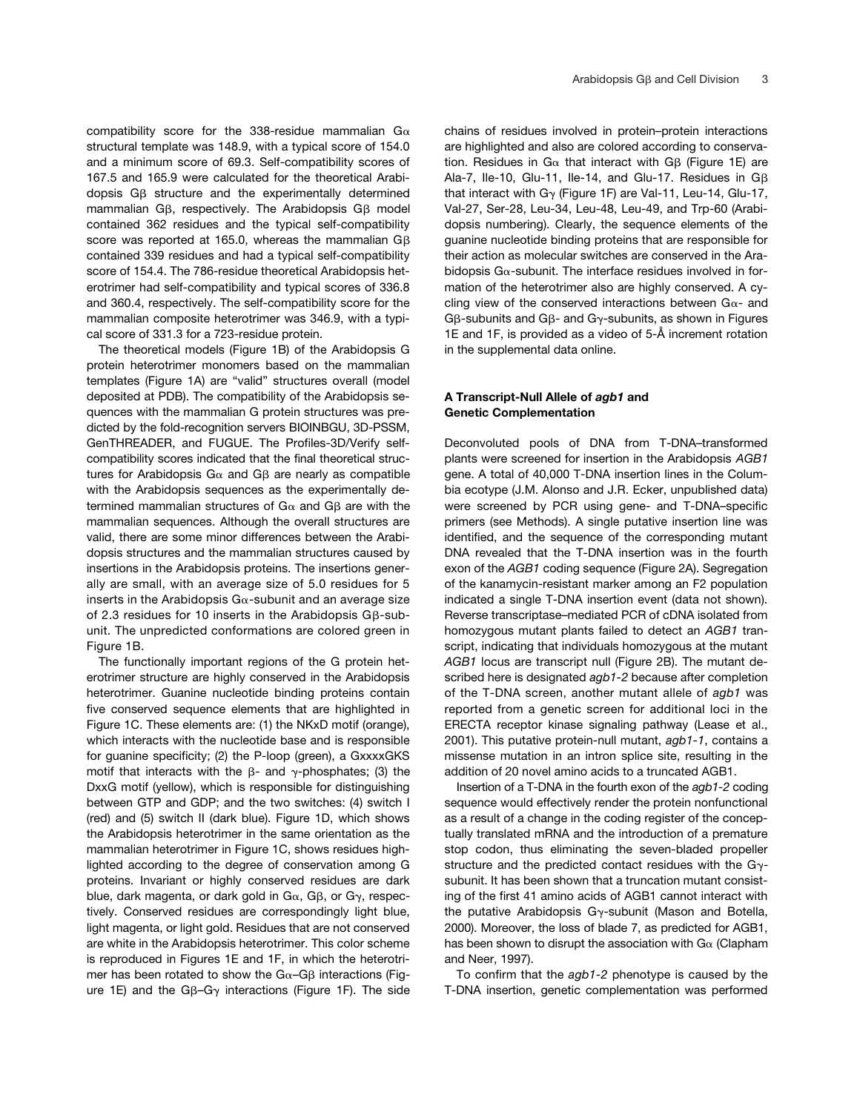compatibility score for the 338-residue mammalian  $G\alpha$ structural template was 148.9, with a typical score of 154.0 and a minimum score of 69.3. Self-compatibility scores of 167.5 and 165.9 were calculated for the theoretical Arabidopsis  $G\beta$  structure and the experimentally determined mammalian G $\beta$ , respectively. The Arabidopsis G $\beta$  model contained 362 residues and the typical self-compatibility score was reported at 165.0, whereas the mammalian G $\beta$ contained 339 residues and had a typical self-compatibility score of 154.4. The 786-residue theoretical Arabidopsis heterotrimer had self-compatibility and typical scores of 336.8 and 360.4, respectively. The self-compatibility score for the mammalian composite heterotrimer was 346.9, with a typical score of 331.3 for a 723-residue protein.

The theoretical models (Figure 1B) of the Arabidopsis G protein heterotrimer monomers based on the mammalian templates (Figure 1A) are "valid" structures overall (model deposited at PDB). The compatibility of the Arabidopsis sequences with the mammalian G protein structures was predicted by the fold-recognition servers BIOINBGU, 3D-PSSM, GenTHREADER, and FUGUE. The Profiles-3D/Verify selfcompatibility scores indicated that the final theoretical structures for Arabidopsis G $\alpha$  and G $\beta$  are nearly as compatible with the Arabidopsis sequences as the experimentally determined mammalian structures of G $\alpha$  and G $\beta$  are with the mammalian sequences. Although the overall structures are valid, there are some minor differences between the Arabidopsis structures and the mammalian structures caused by insertions in the Arabidopsis proteins. The insertions generally are small, with an average size of 5.0 residues for 5 inserts in the Arabidopsis G $\alpha$ -subunit and an average size of 2.3 residues for 10 inserts in the Arabidopsis G $\beta$ -subunit. The unpredicted conformations are colored green in Figure 1B.

The functionally important regions of the G protein heterotrimer structure are highly conserved in the Arabidopsis heterotrimer. Guanine nucleotide binding proteins contain five conserved sequence elements that are highlighted in Figure 1C. These elements are: (1) the NKxD motif (orange), which interacts with the nucleotide base and is responsible for guanine specificity; (2) the P-loop (green), a GxxxxGKS motif that interacts with the  $\beta$ - and  $\gamma$ -phosphates; (3) the DxxG motif (yellow), which is responsible for distinguishing between GTP and GDP; and the two switches: (4) switch I (red) and (5) switch II (dark blue). Figure 1D, which shows the Arabidopsis heterotrimer in the same orientation as the mammalian heterotrimer in Figure 1C, shows residues highlighted according to the degree of conservation among G proteins. Invariant or highly conserved residues are dark blue, dark magenta, or dark gold in G $\alpha$ , G $\beta$ , or G $\gamma$ , respectively. Conserved residues are correspondingly light blue, light magenta, or light gold. Residues that are not conserved are white in the Arabidopsis heterotrimer. This color scheme is reproduced in Figures 1E and 1F, in which the heterotrimer has been rotated to show the G $\alpha$ -G $\beta$  interactions (Figure 1E) and the G $\beta$ -G $\gamma$  interactions (Figure 1F). The side

chains of residues involved in protein–protein interactions are highlighted and also are colored according to conservation. Residues in G $\alpha$  that interact with G $\beta$  (Figure 1E) are Ala-7, Ile-10, Glu-11, Ile-14, and Glu-17. Residues in  $G\beta$ that interact with G $\gamma$  (Figure 1F) are Val-11, Leu-14, Glu-17, Val-27, Ser-28, Leu-34, Leu-48, Leu-49, and Trp-60 (Arabidopsis numbering). Clearly, the sequence elements of the guanine nucleotide binding proteins that are responsible for their action as molecular switches are conserved in the Arabidopsis G $\alpha$ -subunit. The interface residues involved in formation of the heterotrimer also are highly conserved. A cycling view of the conserved interactions between  $Ga-$  and G $\beta$ -subunits and G $\beta$ - and G $\gamma$ -subunits, as shown in Figures 1E and 1F, is provided as a video of 5-Å increment rotation in the supplemental data online.

# **A Transcript-Null Allele of** *agb1* **and Genetic Complementation**

Deconvoluted pools of DNA from T-DNA–transformed plants were screened for insertion in the Arabidopsis *AGB1* gene. A total of 40,000 T-DNA insertion lines in the Columbia ecotype (J.M. Alonso and J.R. Ecker, unpublished data) were screened by PCR using gene- and T-DNA–specific primers (see Methods). A single putative insertion line was identified, and the sequence of the corresponding mutant DNA revealed that the T-DNA insertion was in the fourth exon of the *AGB1* coding sequence (Figure 2A). Segregation of the kanamycin-resistant marker among an F2 population indicated a single T-DNA insertion event (data not shown). Reverse transcriptase–mediated PCR of cDNA isolated from homozygous mutant plants failed to detect an *AGB1* transcript, indicating that individuals homozygous at the mutant *AGB1* locus are transcript null (Figure 2B). The mutant described here is designated *agb1-2* because after completion of the T-DNA screen, another mutant allele of *agb1* was reported from a genetic screen for additional loci in the ERECTA receptor kinase signaling pathway (Lease et al., 2001). This putative protein-null mutant, *agb1-1*, contains a missense mutation in an intron splice site, resulting in the addition of 20 novel amino acids to a truncated AGB1.

Insertion of a T-DNA in the fourth exon of the *agb1-2* coding sequence would effectively render the protein nonfunctional as a result of a change in the coding register of the conceptually translated mRNA and the introduction of a premature stop codon, thus eliminating the seven-bladed propeller structure and the predicted contact residues with the  $G_{\gamma}$ subunit. It has been shown that a truncation mutant consisting of the first 41 amino acids of AGB1 cannot interact with the putative Arabidopsis G $\gamma$ -subunit (Mason and Botella, 2000). Moreover, the loss of blade 7, as predicted for AGB1, has been shown to disrupt the association with  $Ga$  (Clapham and Neer, 1997).

To confirm that the *agb1-2* phenotype is caused by the T-DNA insertion, genetic complementation was performed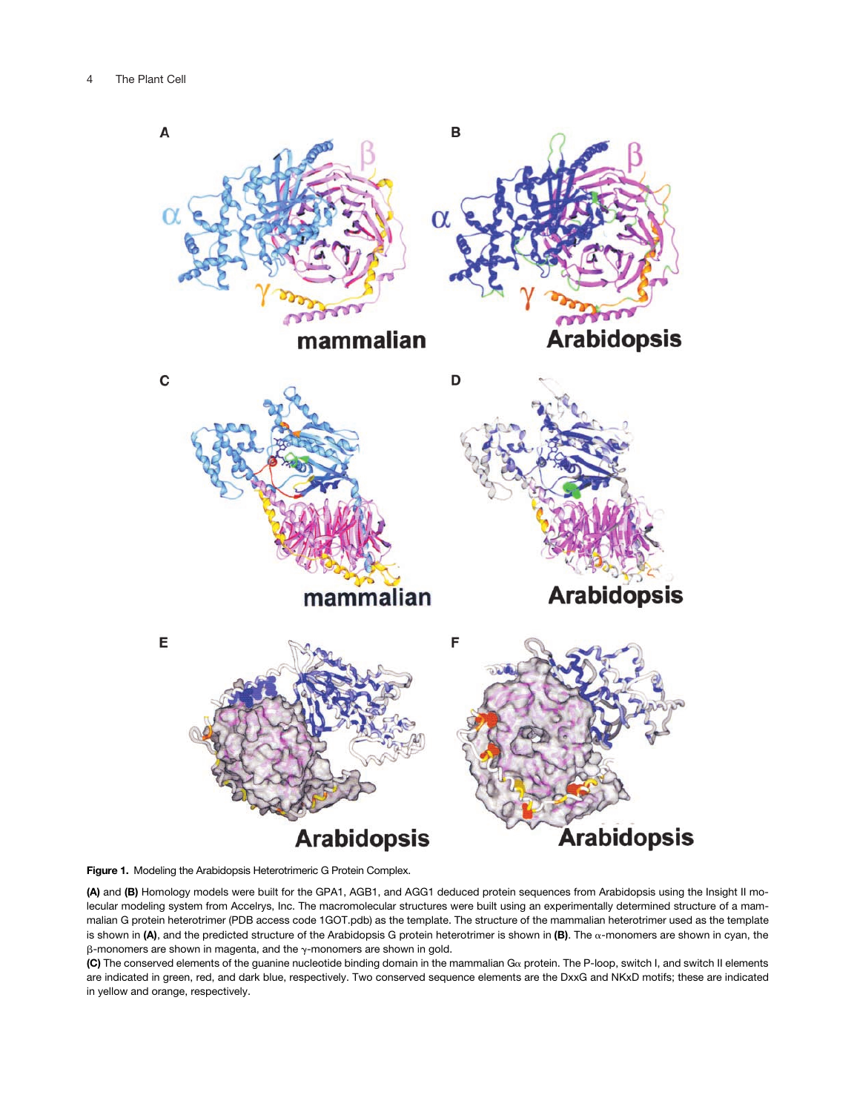

**Figure 1.** Modeling the Arabidopsis Heterotrimeric G Protein Complex.

**(A)** and **(B)** Homology models were built for the GPA1, AGB1, and AGG1 deduced protein sequences from Arabidopsis using the Insight II molecular modeling system from Accelrys, Inc. The macromolecular structures were built using an experimentally determined structure of a mammalian G protein heterotrimer (PDB access code 1GOT.pdb) as the template. The structure of the mammalian heterotrimer used as the template is shown in  $(A)$ , and the predicted structure of the Arabidopsis G protein heterotrimer is shown in  $(B)$ . The  $\alpha$ -monomers are shown in cyan, the  $\beta$ -monomers are shown in magenta, and the  $\gamma$ -monomers are shown in gold.

(C) The conserved elements of the guanine nucleotide binding domain in the mammalian G<sub>a</sub> protein. The P-loop, switch I, and switch II elements are indicated in green, red, and dark blue, respectively. Two conserved sequence elements are the DxxG and NKxD motifs; these are indicated in yellow and orange, respectively.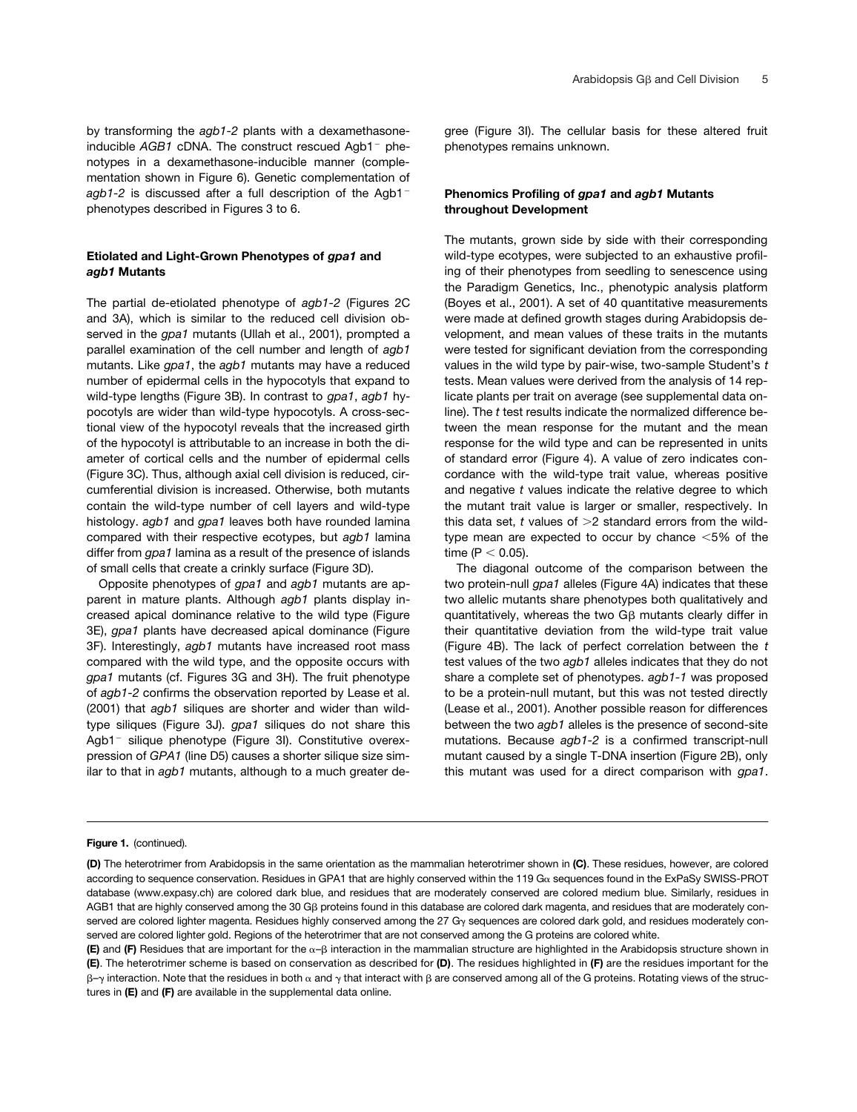by transforming the *agb1-2* plants with a dexamethasoneinducible *AGB1* cDNA. The construct rescued Agb1<sup>-</sup> phenotypes in a dexamethasone-inducible manner (complementation shown in Figure 6). Genetic complementation of *agb1-2* is discussed after a full description of the Agb1 phenotypes described in Figures 3 to 6.

# **Etiolated and Light-Grown Phenotypes of** *gpa1* **and**  *agb1* **Mutants**

The partial de-etiolated phenotype of *agb1-2* (Figures 2C and 3A), which is similar to the reduced cell division observed in the *gpa1* mutants (Ullah et al., 2001), prompted a parallel examination of the cell number and length of *agb1* mutants. Like *gpa1*, the *agb1* mutants may have a reduced number of epidermal cells in the hypocotyls that expand to wild-type lengths (Figure 3B). In contrast to *gpa1*, *agb1* hypocotyls are wider than wild-type hypocotyls. A cross-sectional view of the hypocotyl reveals that the increased girth of the hypocotyl is attributable to an increase in both the diameter of cortical cells and the number of epidermal cells (Figure 3C). Thus, although axial cell division is reduced, circumferential division is increased. Otherwise, both mutants contain the wild-type number of cell layers and wild-type histology. *agb1* and *gpa1* leaves both have rounded lamina compared with their respective ecotypes, but *agb1* lamina differ from *gpa1* lamina as a result of the presence of islands of small cells that create a crinkly surface (Figure 3D).

Opposite phenotypes of *gpa1* and *agb1* mutants are apparent in mature plants. Although *agb1* plants display increased apical dominance relative to the wild type (Figure 3E), *gpa1* plants have decreased apical dominance (Figure 3F). Interestingly, *agb1* mutants have increased root mass compared with the wild type, and the opposite occurs with *gpa1* mutants (cf. Figures 3G and 3H). The fruit phenotype of *agb1-2* confirms the observation reported by Lease et al. (2001) that *agb1* siliques are shorter and wider than wildtype siliques (Figure 3J). *gpa1* siliques do not share this Agb1<sup>-</sup> silique phenotype (Figure 3I). Constitutive overexpression of *GPA1* (line D5) causes a shorter silique size similar to that in *agb1* mutants, although to a much greater degree (Figure 3I). The cellular basis for these altered fruit phenotypes remains unknown.

# **Phenomics Profiling of** *gpa1* **and** *agb1* **Mutants throughout Development**

The mutants, grown side by side with their corresponding wild-type ecotypes, were subjected to an exhaustive profiling of their phenotypes from seedling to senescence using the Paradigm Genetics, Inc., phenotypic analysis platform (Boyes et al., 2001). A set of 40 quantitative measurements were made at defined growth stages during Arabidopsis development, and mean values of these traits in the mutants were tested for significant deviation from the corresponding values in the wild type by pair-wise, two-sample Student's *t* tests. Mean values were derived from the analysis of 14 replicate plants per trait on average (see supplemental data online). The *t* test results indicate the normalized difference between the mean response for the mutant and the mean response for the wild type and can be represented in units of standard error (Figure 4). A value of zero indicates concordance with the wild-type trait value, whereas positive and negative *t* values indicate the relative degree to which the mutant trait value is larger or smaller, respectively. In this data set,  $t$  values of  $>2$  standard errors from the wildtype mean are expected to occur by chance  $<$  5% of the time ( $P < 0.05$ ).

The diagonal outcome of the comparison between the two protein-null *gpa1* alleles (Figure 4A) indicates that these two allelic mutants share phenotypes both qualitatively and quantitatively, whereas the two G $\beta$  mutants clearly differ in their quantitative deviation from the wild-type trait value (Figure 4B). The lack of perfect correlation between the *t* test values of the two *agb1* alleles indicates that they do not share a complete set of phenotypes. *agb1-1* was proposed to be a protein-null mutant, but this was not tested directly (Lease et al., 2001). Another possible reason for differences between the two *agb1* alleles is the presence of second-site mutations. Because *agb1-2* is a confirmed transcript-null mutant caused by a single T-DNA insertion (Figure 2B), only this mutant was used for a direct comparison with *gpa1*.

#### **Figure 1.** (continued).

**<sup>(</sup>D)** The heterotrimer from Arabidopsis in the same orientation as the mammalian heterotrimer shown in **(C)**. These residues, however, are colored according to sequence conservation. Residues in GPA1 that are highly conserved within the 119  $Ga$  sequences found in the ExPaSy SWISS-PROT database (www.expasy.ch) are colored dark blue, and residues that are moderately conserved are colored medium blue. Similarly, residues in AGB1 that are highly conserved among the 30 Gβ proteins found in this database are colored dark magenta, and residues that are moderately conserved are colored lighter magenta. Residues highly conserved among the 27 Gy sequences are colored dark gold, and residues moderately conserved are colored lighter gold. Regions of the heterotrimer that are not conserved among the G proteins are colored white.

**<sup>(</sup>E)** and **(F)** Residues that are important for the  $\alpha$ - $\beta$  interaction in the mammalian structure are highlighted in the Arabidopsis structure shown in **(E)**. The heterotrimer scheme is based on conservation as described for **(D)**. The residues highlighted in **(F)** are the residues important for the β- $\gamma$  interaction. Note that the residues in both α and  $\gamma$  that interact with β are conserved among all of the G proteins. Rotating views of the structures in **(E)** and **(F)** are available in the supplemental data online.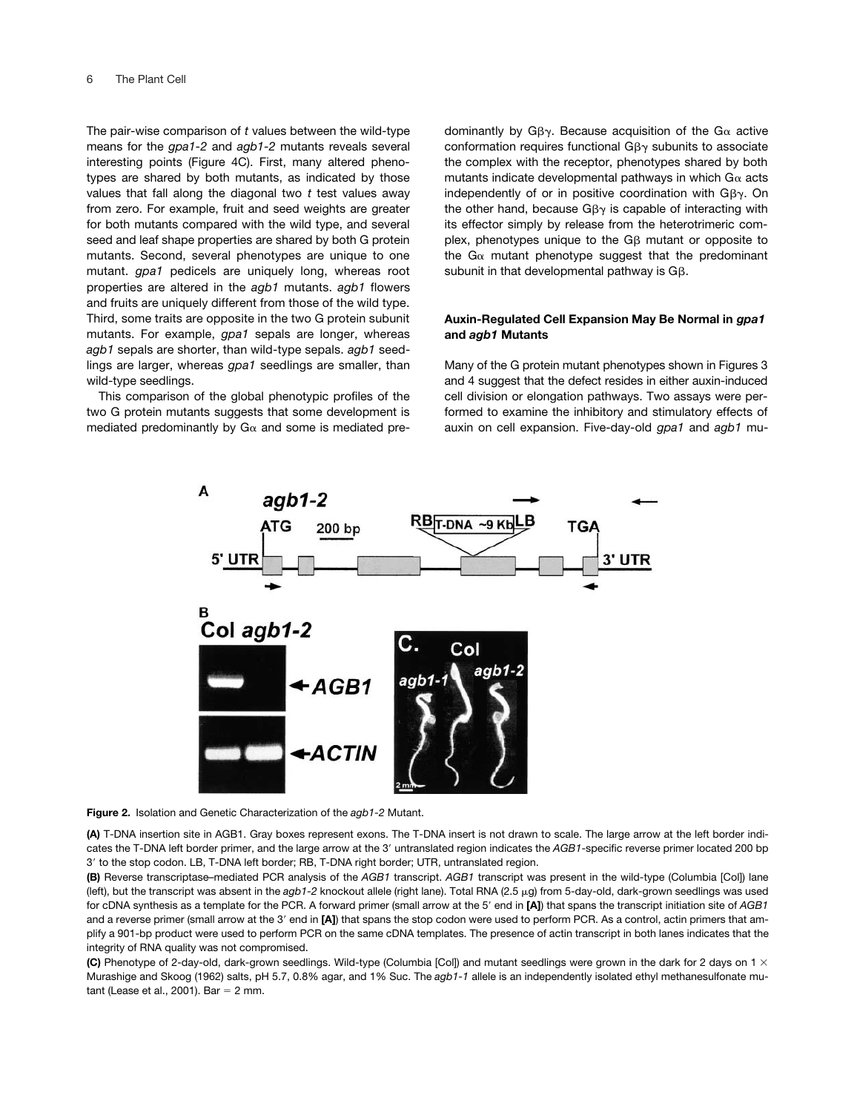The pair-wise comparison of *t* values between the wild-type means for the *gpa1-2* and *agb1-2* mutants reveals several interesting points (Figure 4C). First, many altered phenotypes are shared by both mutants, as indicated by those values that fall along the diagonal two *t* test values away from zero. For example, fruit and seed weights are greater for both mutants compared with the wild type, and several seed and leaf shape properties are shared by both G protein mutants. Second, several phenotypes are unique to one mutant. *gpa1* pedicels are uniquely long, whereas root properties are altered in the *agb1* mutants. *agb1* flowers and fruits are uniquely different from those of the wild type. Third, some traits are opposite in the two G protein subunit mutants. For example, *gpa1* sepals are longer, whereas *agb1* sepals are shorter, than wild-type sepals. *agb1* seedlings are larger, whereas *gpa1* seedlings are smaller, than wild-type seedlings.

This comparison of the global phenotypic profiles of the two G protein mutants suggests that some development is mediated predominantly by  $Ga$  and some is mediated pre-

dominantly by G $\beta\gamma$ . Because acquisition of the G $\alpha$  active conformation requires functional G $\beta\gamma$  subunits to associate the complex with the receptor, phenotypes shared by both mutants indicate developmental pathways in which  $G\alpha$  acts independently of or in positive coordination with G $\beta\gamma$ . On the other hand, because G $\beta\gamma$  is capable of interacting with its effector simply by release from the heterotrimeric complex, phenotypes unique to the  $G\beta$  mutant or opposite to the G $\alpha$  mutant phenotype suggest that the predominant subunit in that developmental pathway is  $G\beta$ .

# **Auxin-Regulated Cell Expansion May Be Normal in** *gpa1* **and** *agb1* **Mutants**

Many of the G protein mutant phenotypes shown in Figures 3 and 4 suggest that the defect resides in either auxin-induced cell division or elongation pathways. Two assays were performed to examine the inhibitory and stimulatory effects of auxin on cell expansion. Five-day-old *gpa1* and *agb1* mu-



**Figure 2.** Isolation and Genetic Characterization of the *agb1-2* Mutant.

**(A)** T-DNA insertion site in AGB1. Gray boxes represent exons. The T-DNA insert is not drawn to scale. The large arrow at the left border indicates the T-DNA left border primer, and the large arrow at the 3' untranslated region indicates the AGB1-specific reverse primer located 200 bp 3' to the stop codon. LB, T-DNA left border; RB, T-DNA right border; UTR, untranslated region.

**(B)** Reverse transcriptase–mediated PCR analysis of the *AGB1* transcript. *AGB1* transcript was present in the wild-type (Columbia [Col]) lane (left), but the transcript was absent in the agb1-2 knockout allele (right lane). Total RNA (2.5 µg) from 5-day-old, dark-grown seedlings was used for cDNA synthesis as a template for the PCR. A forward primer (small arrow at the 5' end in [A]) that spans the transcript initiation site of AGB1 and a reverse primer (small arrow at the 3' end in [A]) that spans the stop codon were used to perform PCR. As a control, actin primers that amplify a 901-bp product were used to perform PCR on the same cDNA templates. The presence of actin transcript in both lanes indicates that the integrity of RNA quality was not compromised.

**(C)** Phenotype of 2-day-old, dark-grown seedlings. Wild-type (Columbia [Col]) and mutant seedlings were grown in the dark for 2 days on 1 Murashige and Skoog (1962) salts, pH 5.7, 0.8% agar, and 1% Suc. The *agb1-1* allele is an independently isolated ethyl methanesulfonate mutant (Lease et al., 2001). Bar  $= 2$  mm.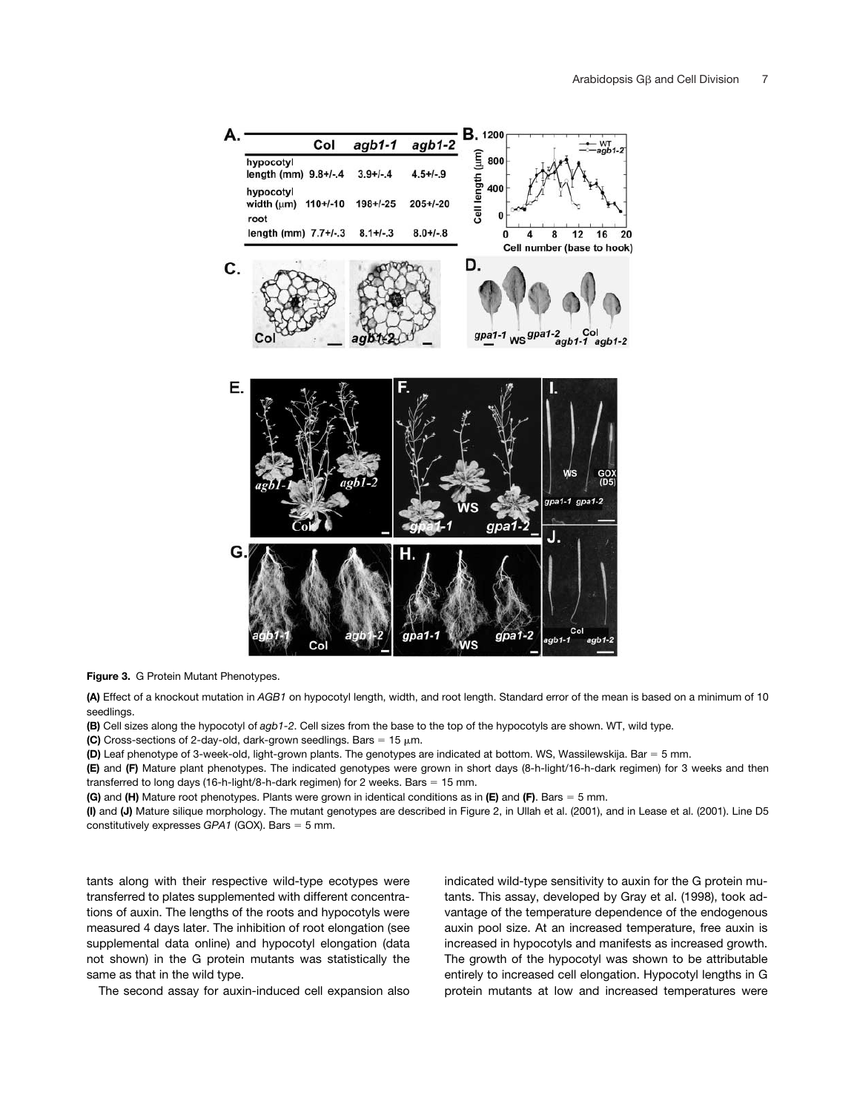

**Figure 3.** G Protein Mutant Phenotypes.

**(A)** Effect of a knockout mutation in *AGB1* on hypocotyl length, width, and root length. Standard error of the mean is based on a minimum of 10 seedlings.

**(B)** Cell sizes along the hypocotyl of *agb1-2*. Cell sizes from the base to the top of the hypocotyls are shown. WT, wild type.

**(C)** Cross-sections of 2-day-old, dark-grown seedlings. Bars =  $15 \mu m$ .

**(D)** Leaf phenotype of 3-week-old, light-grown plants. The genotypes are indicated at bottom. WS, Wassilewskija. Bar = 5 mm.

**(E)** and **(F)** Mature plant phenotypes. The indicated genotypes were grown in short days (8-h-light/16-h-dark regimen) for 3 weeks and then transferred to long days (16-h-light/8-h-dark regimen) for 2 weeks. Bars  $= 15$  mm.

**(G)** and **(H)** Mature root phenotypes. Plants were grown in identical conditions as in **(E)** and **(F)**. Bars 5 mm.

**(I)** and **(J)** Mature silique morphology. The mutant genotypes are described in Figure 2, in Ullah et al. (2001), and in Lease et al. (2001). Line D5 constitutively expresses *GPA1* (GOX). Bars = 5 mm.

tants along with their respective wild-type ecotypes were transferred to plates supplemented with different concentrations of auxin. The lengths of the roots and hypocotyls were measured 4 days later. The inhibition of root elongation (see supplemental data online) and hypocotyl elongation (data not shown) in the G protein mutants was statistically the same as that in the wild type.

The second assay for auxin-induced cell expansion also

indicated wild-type sensitivity to auxin for the G protein mutants. This assay, developed by Gray et al. (1998), took advantage of the temperature dependence of the endogenous auxin pool size. At an increased temperature, free auxin is increased in hypocotyls and manifests as increased growth. The growth of the hypocotyl was shown to be attributable entirely to increased cell elongation. Hypocotyl lengths in G protein mutants at low and increased temperatures were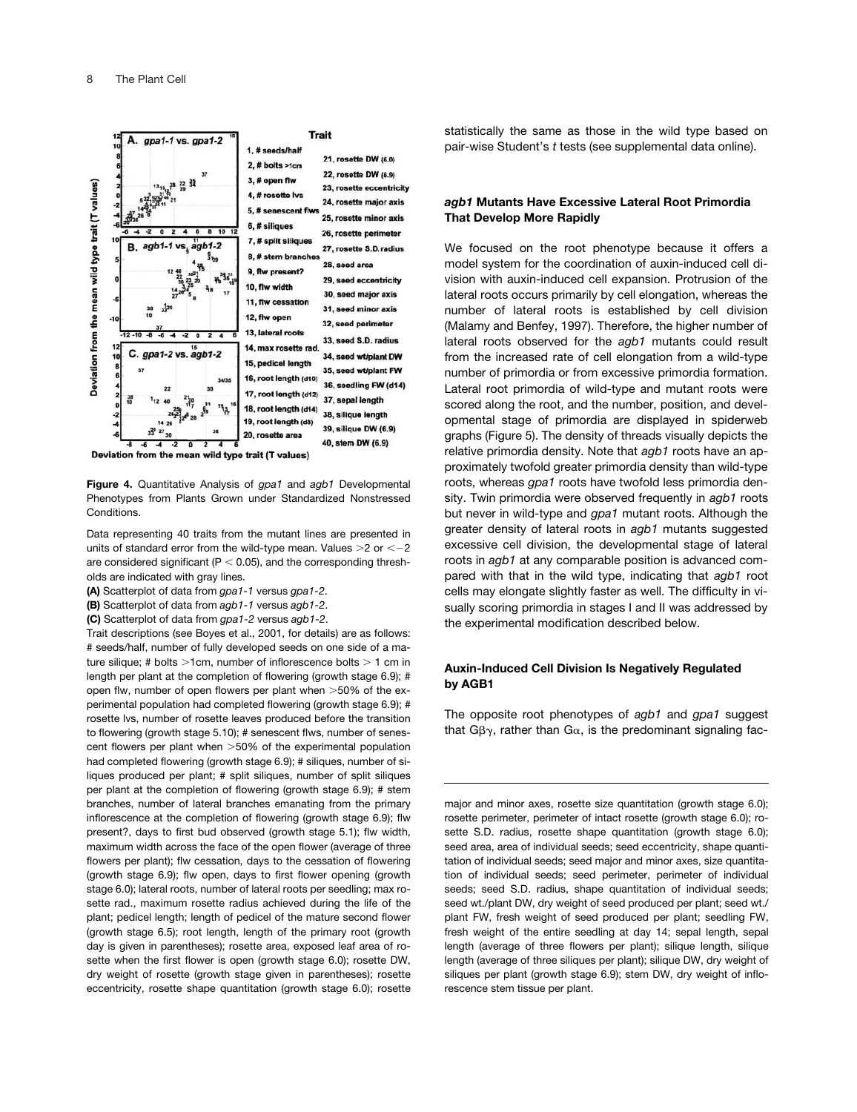

**Figure 4.** Quantitative Analysis of *gpa1* and *agb1* Developmental Phenotypes from Plants Grown under Standardized Nonstressed Conditions.

Data representing 40 traits from the mutant lines are presented in units of standard error from the wild-type mean. Values  $>2$  or  $<-2$ are considered significant ( $P < 0.05$ ), and the corresponding thresholds are indicated with gray lines.

**(A)** Scatterplot of data from *gpa1-1* versus *gpa1-2*.

**(B)** Scatterplot of data from *agb1-1* versus *agb1-2*.

**(C)** Scatterplot of data from *gpa1-2* versus *agb1-2*.

Trait descriptions (see Boyes et al., 2001, for details) are as follows: # seeds/half, number of fully developed seeds on one side of a mature silique; # bolts  $>1$ cm, number of inflorescence bolts  $>1$  cm in length per plant at the completion of flowering (growth stage 6.9); # open flw, number of open flowers per plant when >50% of the experimental population had completed flowering (growth stage 6.9); # rosette lvs, number of rosette leaves produced before the transition to flowering (growth stage 5.10); # senescent flws, number of senescent flowers per plant when >50% of the experimental population had completed flowering (growth stage 6.9); # siliques, number of siliques produced per plant; # split siliques, number of split siliques per plant at the completion of flowering (growth stage 6.9); # stem branches, number of lateral branches emanating from the primary inflorescence at the completion of flowering (growth stage 6.9); flw present?, days to first bud observed (growth stage 5.1); flw width, maximum width across the face of the open flower (average of three flowers per plant); flw cessation, days to the cessation of flowering (growth stage 6.9); flw open, days to first flower opening (growth stage 6.0); lateral roots, number of lateral roots per seedling; max rosette rad., maximum rosette radius achieved during the life of the plant; pedicel length; length of pedicel of the mature second flower (growth stage 6.5); root length, length of the primary root (growth day is given in parentheses); rosette area, exposed leaf area of rosette when the first flower is open (growth stage 6.0); rosette DW, dry weight of rosette (growth stage given in parentheses); rosette eccentricity, rosette shape quantitation (growth stage 6.0); rosette

statistically the same as those in the wild type based on pair-wise Student's *t* tests (see supplemental data online).

## *agb1* **Mutants Have Excessive Lateral Root Primordia That Develop More Rapidly**

We focused on the root phenotype because it offers a model system for the coordination of auxin-induced cell division with auxin-induced cell expansion. Protrusion of the lateral roots occurs primarily by cell elongation, whereas the number of lateral roots is established by cell division (Malamy and Benfey, 1997). Therefore, the higher number of lateral roots observed for the *agb1* mutants could result from the increased rate of cell elongation from a wild-type number of primordia or from excessive primordia formation. Lateral root primordia of wild-type and mutant roots were scored along the root, and the number, position, and developmental stage of primordia are displayed in spiderweb graphs (Figure 5). The density of threads visually depicts the relative primordia density. Note that *agb1* roots have an approximately twofold greater primordia density than wild-type roots, whereas *gpa1* roots have twofold less primordia density. Twin primordia were observed frequently in *agb1* roots but never in wild-type and *gpa1* mutant roots. Although the greater density of lateral roots in *agb1* mutants suggested excessive cell division, the developmental stage of lateral roots in *agb1* at any comparable position is advanced compared with that in the wild type, indicating that *agb1* root cells may elongate slightly faster as well. The difficulty in visually scoring primordia in stages I and II was addressed by the experimental modification described below.

## **Auxin-Induced Cell Division Is Negatively Regulated by AGB1**

The opposite root phenotypes of *agb1* and *gpa1* suggest that Gβ $\gamma$ , rather than G $\alpha$ , is the predominant signaling fac-

major and minor axes, rosette size quantitation (growth stage 6.0); rosette perimeter, perimeter of intact rosette (growth stage 6.0); rosette S.D. radius, rosette shape quantitation (growth stage 6.0); seed area, area of individual seeds; seed eccentricity, shape quantitation of individual seeds; seed major and minor axes, size quantitation of individual seeds; seed perimeter, perimeter of individual seeds; seed S.D. radius, shape quantitation of individual seeds; seed wt./plant DW, dry weight of seed produced per plant; seed wt./ plant FW, fresh weight of seed produced per plant; seedling FW, fresh weight of the entire seedling at day 14; sepal length, sepal length (average of three flowers per plant); silique length, silique length (average of three siliques per plant); silique DW, dry weight of siliques per plant (growth stage 6.9); stem DW, dry weight of inflorescence stem tissue per plant.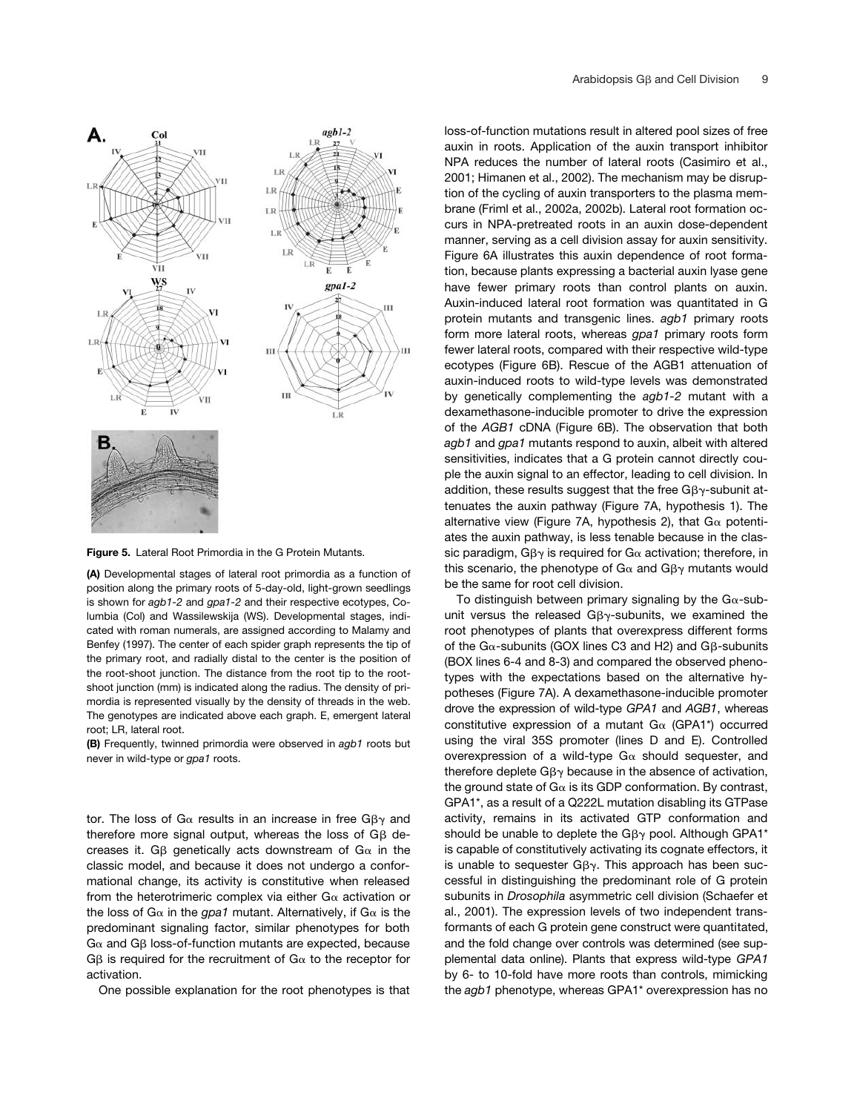

**Figure 5.** Lateral Root Primordia in the G Protein Mutants.

**(A)** Developmental stages of lateral root primordia as a function of position along the primary roots of 5-day-old, light-grown seedlings is shown for *agb1-2* and *gpa1-2* and their respective ecotypes, Columbia (Col) and Wassilewskija (WS). Developmental stages, indicated with roman numerals, are assigned according to Malamy and Benfey (1997). The center of each spider graph represents the tip of the primary root, and radially distal to the center is the position of the root-shoot junction. The distance from the root tip to the rootshoot junction (mm) is indicated along the radius. The density of primordia is represented visually by the density of threads in the web. The genotypes are indicated above each graph. E, emergent lateral root; LR, lateral root.

**(B)** Frequently, twinned primordia were observed in *agb1* roots but never in wild-type or *gpa1* roots.

tor. The loss of G $\alpha$  results in an increase in free G $\beta\gamma$  and therefore more signal output, whereas the loss of  $G\beta$  decreases it. G $\beta$  genetically acts downstream of G $\alpha$  in the classic model, and because it does not undergo a conformational change, its activity is constitutive when released from the heterotrimeric complex via either  $G\alpha$  activation or the loss of G $\alpha$  in the gpa1 mutant. Alternatively, if G $\alpha$  is the predominant signaling factor, similar phenotypes for both  $G\alpha$  and G $\beta$  loss-of-function mutants are expected, because G $\beta$  is required for the recruitment of G $\alpha$  to the receptor for activation.

One possible explanation for the root phenotypes is that

loss-of-function mutations result in altered pool sizes of free auxin in roots. Application of the auxin transport inhibitor NPA reduces the number of lateral roots (Casimiro et al., 2001; Himanen et al., 2002). The mechanism may be disruption of the cycling of auxin transporters to the plasma membrane (Friml et al., 2002a, 2002b). Lateral root formation occurs in NPA-pretreated roots in an auxin dose-dependent manner, serving as a cell division assay for auxin sensitivity. Figure 6A illustrates this auxin dependence of root formation, because plants expressing a bacterial auxin lyase gene have fewer primary roots than control plants on auxin. Auxin-induced lateral root formation was quantitated in G protein mutants and transgenic lines. *agb1* primary roots form more lateral roots, whereas *gpa1* primary roots form fewer lateral roots, compared with their respective wild-type ecotypes (Figure 6B). Rescue of the AGB1 attenuation of auxin-induced roots to wild-type levels was demonstrated by genetically complementing the *agb1-2* mutant with a dexamethasone-inducible promoter to drive the expression of the *AGB1* cDNA (Figure 6B). The observation that both *agb1* and *gpa1* mutants respond to auxin, albeit with altered sensitivities, indicates that a G protein cannot directly couple the auxin signal to an effector, leading to cell division. In addition, these results suggest that the free G $\beta\gamma$ -subunit attenuates the auxin pathway (Figure 7A, hypothesis 1). The alternative view (Figure 7A, hypothesis 2), that  $G\alpha$  potentiates the auxin pathway, is less tenable because in the classic paradigm, G $\beta\gamma$  is required for G $\alpha$  activation; therefore, in this scenario, the phenotype of G $\alpha$  and G $\beta\gamma$  mutants would be the same for root cell division.

To distinguish between primary signaling by the G $\alpha$ -subunit versus the released G $\beta\gamma$ -subunits, we examined the root phenotypes of plants that overexpress different forms of the G $\alpha$ -subunits (GOX lines C3 and H2) and G $\beta$ -subunits (BOX lines 6-4 and 8-3) and compared the observed phenotypes with the expectations based on the alternative hypotheses (Figure 7A). A dexamethasone-inducible promoter drove the expression of wild-type *GPA1* and *AGB1*, whereas constitutive expression of a mutant  $Ga$  (GPA1\*) occurred using the viral 35S promoter (lines D and E). Controlled overexpression of a wild-type  $Ga$  should sequester, and therefore deplete G $\beta\gamma$  because in the absence of activation, the ground state of  $G\alpha$  is its GDP conformation. By contrast, GPA1\*, as a result of a Q222L mutation disabling its GTPase activity, remains in its activated GTP conformation and should be unable to deplete the G $\beta\gamma$  pool. Although GPA1\* is capable of constitutively activating its cognate effectors, it is unable to sequester  $G\beta\gamma$ . This approach has been successful in distinguishing the predominant role of G protein subunits in *Drosophila* asymmetric cell division (Schaefer et al., 2001). The expression levels of two independent transformants of each G protein gene construct were quantitated, and the fold change over controls was determined (see supplemental data online). Plants that express wild-type *GPA1* by 6- to 10-fold have more roots than controls, mimicking the *agb1* phenotype, whereas GPA1\* overexpression has no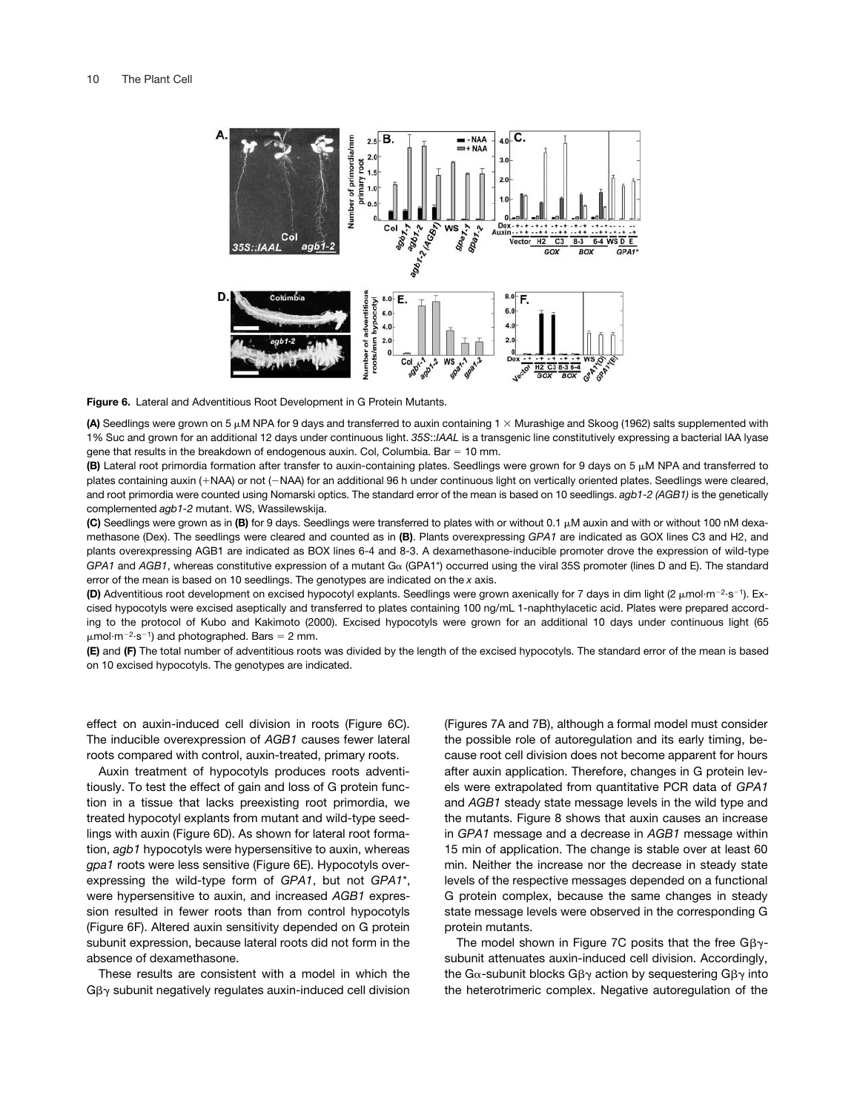

**Figure 6.** Lateral and Adventitious Root Development in G Protein Mutants.

**(A)** Seedlings were grown on 5 μM NPA for 9 days and transferred to auxin containing 1 × Murashige and Skoog (1962) salts supplemented with 1% Suc and grown for an additional 12 days under continuous light. *35S*::*IAAL* is a transgenic line constitutively expressing a bacterial IAA lyase gene that results in the breakdown of endogenous auxin. Col, Columbia. Bar  $= 10$  mm.

**(B)** Lateral root primordia formation after transfer to auxin-containing plates. Seedlings were grown for 9 days on 5  $\mu$ M NPA and transferred to plates containing auxin (+NAA) or not (-NAA) for an additional 96 h under continuous light on vertically oriented plates. Seedlings were cleared, and root primordia were counted using Nomarski optics. The standard error of the mean is based on 10 seedlings. *agb1-2 (AGB1)* is the genetically complemented *agb1-2* mutant. WS, Wassilewskija.

**(C)** Seedlings were grown as in **(B)** for 9 days. Seedlings were transferred to plates with or without 0.1  $\mu$ M auxin and with or without 100 nM dexamethasone (Dex). The seedlings were cleared and counted as in **(B)**. Plants overexpressing *GPA1* are indicated as GOX lines C3 and H2, and plants overexpressing AGB1 are indicated as BOX lines 6-4 and 8-3. A dexamethasone-inducible promoter drove the expression of wild-type *GPA1* and *AGB1*, whereas constitutive expression of a mutant Gα (GPA1<sup>\*</sup>) occurred using the viral 35S promoter (lines D and E). The standard error of the mean is based on 10 seedlings. The genotypes are indicated on the *x* axis.

(D) Adventitious root development on excised hypocotyl explants. Seedlings were grown axenically for 7 days in dim light (2 µmol·m<sup>-2</sup>·s<sup>-1</sup>). Excised hypocotyls were excised aseptically and transferred to plates containing 100 ng/mL 1-naphthylacetic acid. Plates were prepared according to the protocol of Kubo and Kakimoto (2000). Excised hypocotyls were grown for an additional 10 days under continuous light (65  $\mu$ mol·m<sup>-2</sup>·s<sup>-1</sup>) and photographed. Bars = 2 mm.

**(E)** and **(F)** The total number of adventitious roots was divided by the length of the excised hypocotyls. The standard error of the mean is based on 10 excised hypocotyls. The genotypes are indicated.

effect on auxin-induced cell division in roots (Figure 6C). The inducible overexpression of *AGB1* causes fewer lateral roots compared with control, auxin-treated, primary roots.

Auxin treatment of hypocotyls produces roots adventitiously. To test the effect of gain and loss of G protein function in a tissue that lacks preexisting root primordia, we treated hypocotyl explants from mutant and wild-type seedlings with auxin (Figure 6D). As shown for lateral root formation, *agb1* hypocotyls were hypersensitive to auxin, whereas *gpa1* roots were less sensitive (Figure 6E). Hypocotyls overexpressing the wild-type form of *GPA1*, but not *GPA1*\*, were hypersensitive to auxin, and increased *AGB1* expression resulted in fewer roots than from control hypocotyls (Figure 6F). Altered auxin sensitivity depended on G protein subunit expression, because lateral roots did not form in the absence of dexamethasone.

These results are consistent with a model in which the  $G\beta\gamma$  subunit negatively regulates auxin-induced cell division

(Figures 7A and 7B), although a formal model must consider the possible role of autoregulation and its early timing, because root cell division does not become apparent for hours after auxin application. Therefore, changes in G protein levels were extrapolated from quantitative PCR data of *GPA1* and *AGB1* steady state message levels in the wild type and the mutants. Figure 8 shows that auxin causes an increase in *GPA1* message and a decrease in *AGB1* message within 15 min of application. The change is stable over at least 60 min. Neither the increase nor the decrease in steady state levels of the respective messages depended on a functional G protein complex, because the same changes in steady state message levels were observed in the corresponding G protein mutants.

The model shown in Figure 7C posits that the free  $G\beta\gamma$ subunit attenuates auxin-induced cell division. Accordingly, the G $\alpha$ -subunit blocks Gβ $\gamma$  action by sequestering Gβ $\gamma$  into the heterotrimeric complex. Negative autoregulation of the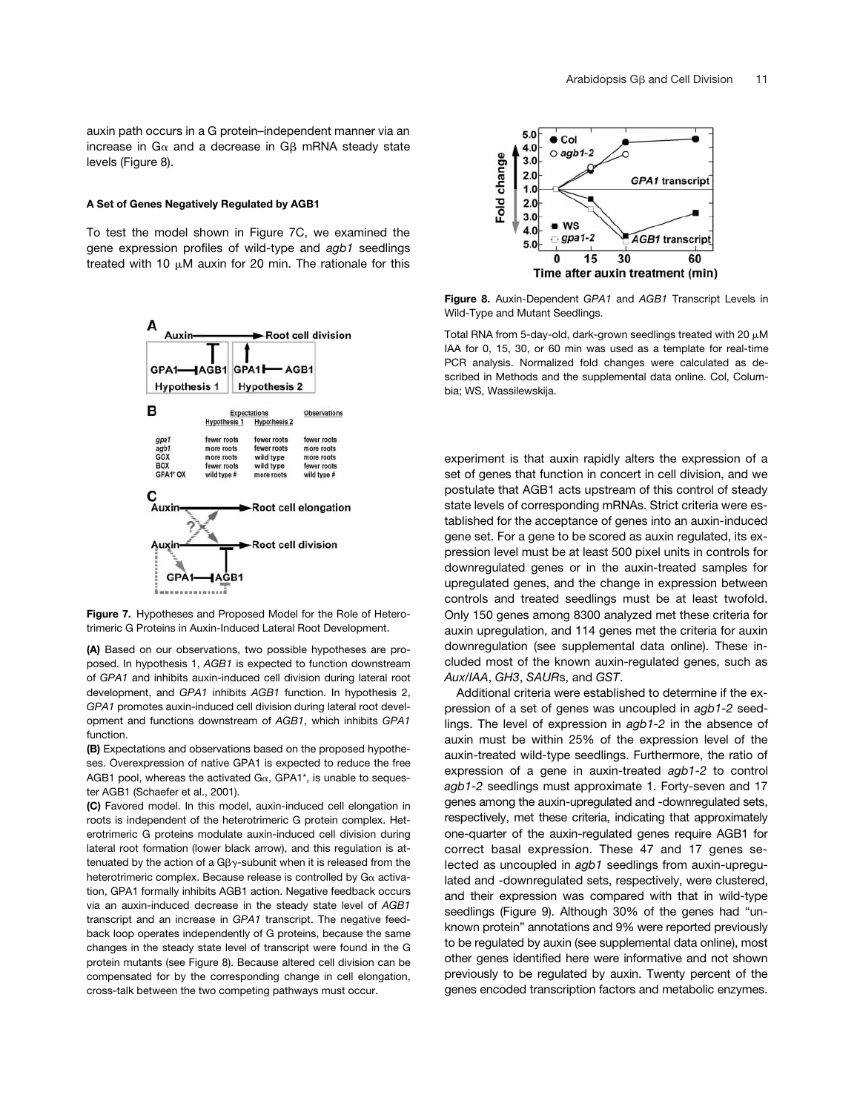auxin path occurs in a G protein–independent manner via an increase in G $\alpha$  and a decrease in G $\beta$  mRNA steady state levels (Figure 8).

### **A Set of Genes Negatively Regulated by AGB1**

To test the model shown in Figure 7C, we examined the gene expression profiles of wild-type and *agb1* seedlings treated with 10  $\mu$ M auxin for 20 min. The rationale for this



**Figure 7.** Hypotheses and Proposed Model for the Role of Heterotrimeric G Proteins in Auxin-Induced Lateral Root Development.

**(A)** Based on our observations, two possible hypotheses are proposed. In hypothesis 1, *AGB1* is expected to function downstream of *GPA1* and inhibits auxin-induced cell division during lateral root development, and *GPA1* inhibits *AGB1* function. In hypothesis 2, *GPA1* promotes auxin-induced cell division during lateral root development and functions downstream of *AGB1*, which inhibits *GPA1* function.

**(B)** Expectations and observations based on the proposed hypotheses. Overexpression of native GPA1 is expected to reduce the free AGB1 pool, whereas the activated  $Ga$ , GPA1\*, is unable to sequester AGB1 (Schaefer et al., 2001).

**(C)** Favored model. In this model, auxin-induced cell elongation in roots is independent of the heterotrimeric G protein complex. Heterotrimeric G proteins modulate auxin-induced cell division during lateral root formation (lower black arrow), and this regulation is attenuated by the action of a G $\beta\gamma$ -subunit when it is released from the heterotrimeric complex. Because release is controlled by  $G\alpha$  activation, GPA1 formally inhibits AGB1 action. Negative feedback occurs via an auxin-induced decrease in the steady state level of *AGB1* transcript and an increase in *GPA1* transcript. The negative feedback loop operates independently of G proteins, because the same changes in the steady state level of transcript were found in the G protein mutants (see Figure 8). Because altered cell division can be compensated for by the corresponding change in cell elongation, cross-talk between the two competing pathways must occur.



**Figure 8.** Auxin-Dependent *GPA1* and *AGB1* Transcript Levels in Wild-Type and Mutant Seedlings.

Total RNA from 5-day-old, dark-grown seedlings treated with 20  $\mu$ M IAA for 0, 15, 30, or 60 min was used as a template for real-time PCR analysis. Normalized fold changes were calculated as described in Methods and the supplemental data online. Col, Columbia; WS, Wassilewskija.

experiment is that auxin rapidly alters the expression of a set of genes that function in concert in cell division, and we postulate that AGB1 acts upstream of this control of steady state levels of corresponding mRNAs. Strict criteria were established for the acceptance of genes into an auxin-induced gene set. For a gene to be scored as auxin regulated, its expression level must be at least 500 pixel units in controls for downregulated genes or in the auxin-treated samples for upregulated genes, and the change in expression between controls and treated seedlings must be at least twofold. Only 150 genes among 8300 analyzed met these criteria for auxin upregulation, and 114 genes met the criteria for auxin downregulation (see supplemental data online). These included most of the known auxin-regulated genes, such as *Aux/IAA*, *GH3*, *SAUR*s, and *GST*.

Additional criteria were established to determine if the expression of a set of genes was uncoupled in *agb1-2* seedlings. The level of expression in *agb1-2* in the absence of auxin must be within 25% of the expression level of the auxin-treated wild-type seedlings. Furthermore, the ratio of expression of a gene in auxin-treated *agb1-2* to control *agb1-2* seedlings must approximate 1. Forty-seven and 17 genes among the auxin-upregulated and -downregulated sets, respectively, met these criteria, indicating that approximately one-quarter of the auxin-regulated genes require AGB1 for correct basal expression. These 47 and 17 genes selected as uncoupled in *agb1* seedlings from auxin-upregulated and -downregulated sets, respectively, were clustered, and their expression was compared with that in wild-type seedlings (Figure 9). Although 30% of the genes had "unknown protein" annotations and 9% were reported previously to be regulated by auxin (see supplemental data online), most other genes identified here were informative and not shown previously to be regulated by auxin. Twenty percent of the genes encoded transcription factors and metabolic enzymes.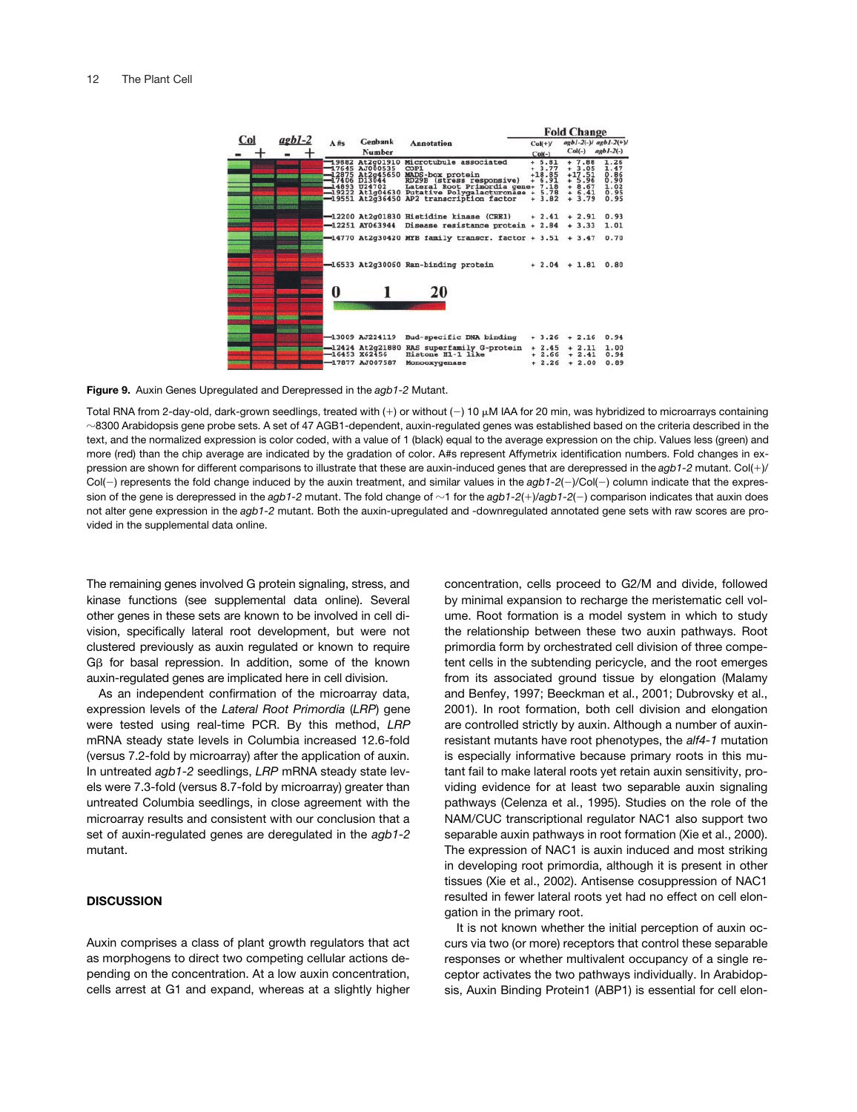

**Figure 9.** Auxin Genes Upregulated and Derepressed in the *agb1-2* Mutant.

Total RNA from 2-day-old, dark-grown seedlings, treated with  $(+)$  or without  $(-)$  10  $\mu$ M IAA for 20 min, was hybridized to microarrays containing  $\sim$ 8300 Arabidopsis gene probe sets. A set of 47 AGB1-dependent, auxin-regulated genes was established based on the criteria described in the text, and the normalized expression is color coded, with a value of 1 (black) equal to the average expression on the chip. Values less (green) and more (red) than the chip average are indicated by the gradation of color. A#s represent Affymetrix identification numbers. Fold changes in expression are shown for different comparisons to illustrate that these are auxin-induced genes that are derepressed in the agb1-2 mutant. Col(+)/  $Col(-)$  represents the fold change induced by the auxin treatment, and similar values in the  $aqb1-2(-)/Col(-)$  column indicate that the expression of the gene is derepressed in the agb1-2 mutant. The fold change of  $\sim$ 1 for the agb1-2(+)/agb1-2(-) comparison indicates that auxin does not alter gene expression in the *agb1-2* mutant. Both the auxin-upregulated and -downregulated annotated gene sets with raw scores are provided in the supplemental data online.

The remaining genes involved G protein signaling, stress, and kinase functions (see supplemental data online). Several other genes in these sets are known to be involved in cell division, specifically lateral root development, but were not clustered previously as auxin regulated or known to require  $G\beta$  for basal repression. In addition, some of the known auxin-regulated genes are implicated here in cell division.

As an independent confirmation of the microarray data, expression levels of the *Lateral Root Primordia* (*LRP*) gene were tested using real-time PCR. By this method, *LRP* mRNA steady state levels in Columbia increased 12.6-fold (versus 7.2-fold by microarray) after the application of auxin. In untreated *agb1-2* seedlings, *LRP* mRNA steady state levels were 7.3-fold (versus 8.7-fold by microarray) greater than untreated Columbia seedlings, in close agreement with the microarray results and consistent with our conclusion that a set of auxin-regulated genes are deregulated in the *agb1-2* mutant.

## **DISCUSSION**

Auxin comprises a class of plant growth regulators that act as morphogens to direct two competing cellular actions depending on the concentration. At a low auxin concentration, cells arrest at G1 and expand, whereas at a slightly higher concentration, cells proceed to G2/M and divide, followed by minimal expansion to recharge the meristematic cell volume. Root formation is a model system in which to study the relationship between these two auxin pathways. Root primordia form by orchestrated cell division of three competent cells in the subtending pericycle, and the root emerges from its associated ground tissue by elongation (Malamy and Benfey, 1997; Beeckman et al., 2001; Dubrovsky et al., 2001). In root formation, both cell division and elongation are controlled strictly by auxin. Although a number of auxinresistant mutants have root phenotypes, the *alf4-1* mutation is especially informative because primary roots in this mutant fail to make lateral roots yet retain auxin sensitivity, providing evidence for at least two separable auxin signaling pathways (Celenza et al., 1995). Studies on the role of the NAM/CUC transcriptional regulator NAC1 also support two separable auxin pathways in root formation (Xie et al., 2000). The expression of NAC1 is auxin induced and most striking in developing root primordia, although it is present in other tissues (Xie et al., 2002). Antisense cosuppression of NAC1 resulted in fewer lateral roots yet had no effect on cell elongation in the primary root.

It is not known whether the initial perception of auxin occurs via two (or more) receptors that control these separable responses or whether multivalent occupancy of a single receptor activates the two pathways individually. In Arabidopsis, Auxin Binding Protein1 (ABP1) is essential for cell elon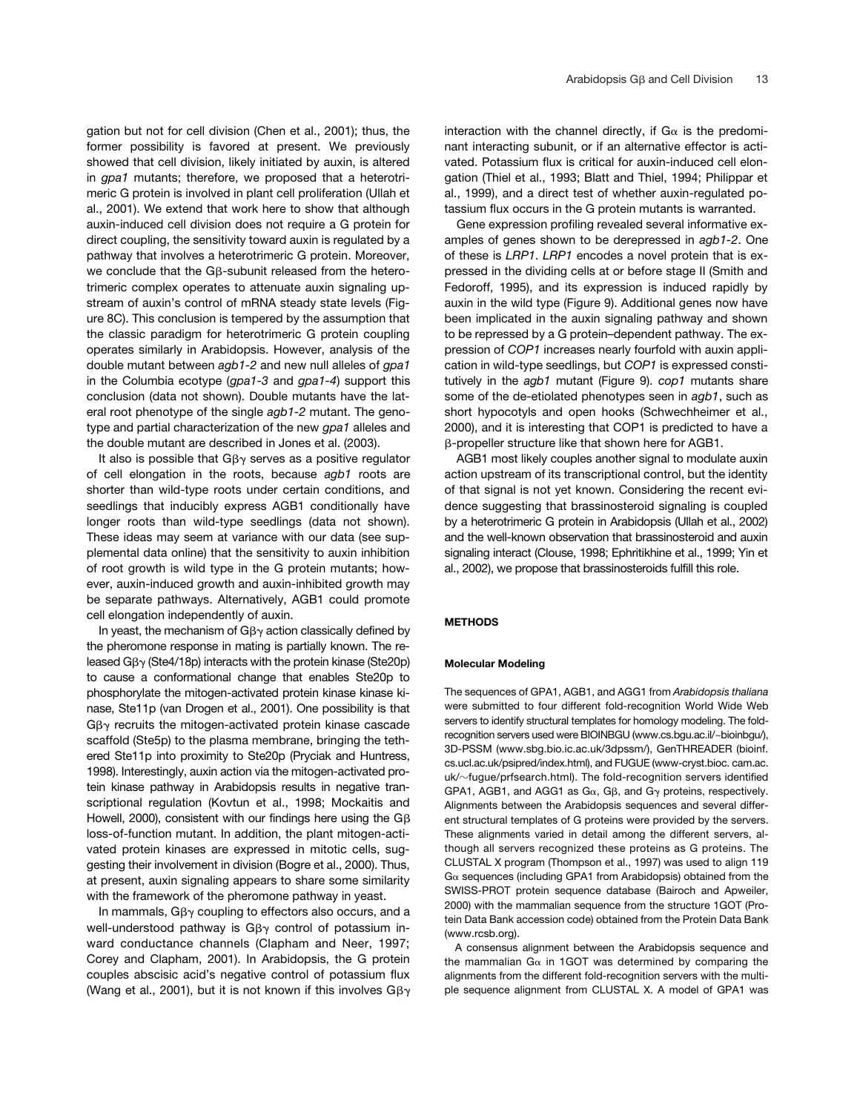gation but not for cell division (Chen et al., 2001); thus, the former possibility is favored at present. We previously showed that cell division, likely initiated by auxin, is altered in *gpa1* mutants; therefore, we proposed that a heterotrimeric G protein is involved in plant cell proliferation (Ullah et al., 2001). We extend that work here to show that although auxin-induced cell division does not require a G protein for direct coupling, the sensitivity toward auxin is regulated by a pathway that involves a heterotrimeric G protein. Moreover, we conclude that the G $\beta$ -subunit released from the heterotrimeric complex operates to attenuate auxin signaling upstream of auxin's control of mRNA steady state levels (Figure 8C). This conclusion is tempered by the assumption that the classic paradigm for heterotrimeric G protein coupling operates similarly in Arabidopsis. However, analysis of the double mutant between *agb1-2* and new null alleles of *gpa1* in the Columbia ecotype (*gpa1-3* and *gpa1-4*) support this conclusion (data not shown). Double mutants have the lateral root phenotype of the single *agb1-2* mutant. The genotype and partial characterization of the new *gpa1* alleles and the double mutant are described in Jones et al. (2003).

It also is possible that G $\beta\gamma$  serves as a positive regulator of cell elongation in the roots, because *agb1* roots are shorter than wild-type roots under certain conditions, and seedlings that inducibly express AGB1 conditionally have longer roots than wild-type seedlings (data not shown). These ideas may seem at variance with our data (see supplemental data online) that the sensitivity to auxin inhibition of root growth is wild type in the G protein mutants; however, auxin-induced growth and auxin-inhibited growth may be separate pathways. Alternatively, AGB1 could promote cell elongation independently of auxin.

In yeast, the mechanism of G $\beta\gamma$  action classically defined by the pheromone response in mating is partially known. The released G $\beta\gamma$  (Ste4/18p) interacts with the protein kinase (Ste20p) to cause a conformational change that enables Ste20p to phosphorylate the mitogen-activated protein kinase kinase kinase, Ste11p (van Drogen et al., 2001). One possibility is that  $G\beta\gamma$  recruits the mitogen-activated protein kinase cascade scaffold (Ste5p) to the plasma membrane, bringing the tethered Ste11p into proximity to Ste20p (Pryciak and Huntress, 1998). Interestingly, auxin action via the mitogen-activated protein kinase pathway in Arabidopsis results in negative transcriptional regulation (Kovtun et al., 1998; Mockaitis and Howell, 2000), consistent with our findings here using the  $G\beta$ loss-of-function mutant. In addition, the plant mitogen-activated protein kinases are expressed in mitotic cells, suggesting their involvement in division (Bogre et al., 2000). Thus, at present, auxin signaling appears to share some similarity with the framework of the pheromone pathway in yeast.

In mammals, G $\beta\gamma$  coupling to effectors also occurs, and a well-understood pathway is  $G\beta\gamma$  control of potassium inward conductance channels (Clapham and Neer, 1997; Corey and Clapham, 2001). In Arabidopsis, the G protein couples abscisic acid's negative control of potassium flux (Wang et al., 2001), but it is not known if this involves  $G\beta\gamma$ 

interaction with the channel directly, if  $G_{\alpha}$  is the predominant interacting subunit, or if an alternative effector is activated. Potassium flux is critical for auxin-induced cell elongation (Thiel et al., 1993; Blatt and Thiel, 1994; Philippar et al., 1999), and a direct test of whether auxin-regulated potassium flux occurs in the G protein mutants is warranted.

Gene expression profiling revealed several informative examples of genes shown to be derepressed in *agb1-2*. One of these is *LRP1*. *LRP1* encodes a novel protein that is expressed in the dividing cells at or before stage II (Smith and Fedoroff, 1995), and its expression is induced rapidly by auxin in the wild type (Figure 9). Additional genes now have been implicated in the auxin signaling pathway and shown to be repressed by a G protein–dependent pathway. The expression of *COP1* increases nearly fourfold with auxin application in wild-type seedlings, but *COP1* is expressed constitutively in the *agb1* mutant (Figure 9). *cop1* mutants share some of the de-etiolated phenotypes seen in *agb1*, such as short hypocotyls and open hooks (Schwechheimer et al., 2000), and it is interesting that COP1 is predicted to have a --propeller structure like that shown here for AGB1.

AGB1 most likely couples another signal to modulate auxin action upstream of its transcriptional control, but the identity of that signal is not yet known. Considering the recent evidence suggesting that brassinosteroid signaling is coupled by a heterotrimeric G protein in Arabidopsis (Ullah et al., 2002) and the well-known observation that brassinosteroid and auxin signaling interact (Clouse, 1998; Ephritikhine et al., 1999; Yin et al., 2002), we propose that brassinosteroids fulfill this role.

## **METHODS**

#### **Molecular Modeling**

The sequences of GPA1, AGB1, and AGG1 from *Arabidopsis thaliana* were submitted to four different fold-recognition World Wide Web servers to identify structural templates for homology modeling. The foldrecognition servers used were BIOINBGU (www.cs.bgu.ac.il/~bioinbgu/), 3D-PSSM (www.sbg.bio.ic.ac.uk/3dpssm/), GenTHREADER (bioinf. cs.ucl.ac.uk/psipred/index.html), and FUGUE (www-cryst.bioc. cam.ac. uk/~fugue/prfsearch.html). The fold-recognition servers identified GPA1, AGB1, and AGG1 as G $\alpha$ , G $\beta$ , and G $\gamma$  proteins, respectively. Alignments between the Arabidopsis sequences and several different structural templates of G proteins were provided by the servers. These alignments varied in detail among the different servers, although all servers recognized these proteins as G proteins. The CLUSTAL X program (Thompson et al., 1997) was used to align 119  $G\alpha$  sequences (including GPA1 from Arabidopsis) obtained from the SWISS-PROT protein sequence database (Bairoch and Apweiler, 2000) with the mammalian sequence from the structure 1GOT (Protein Data Bank accession code) obtained from the Protein Data Bank (www.rcsb.org).

A consensus alignment between the Arabidopsis sequence and the mammalian G $\alpha$  in 1GOT was determined by comparing the alignments from the different fold-recognition servers with the multiple sequence alignment from CLUSTAL X. A model of GPA1 was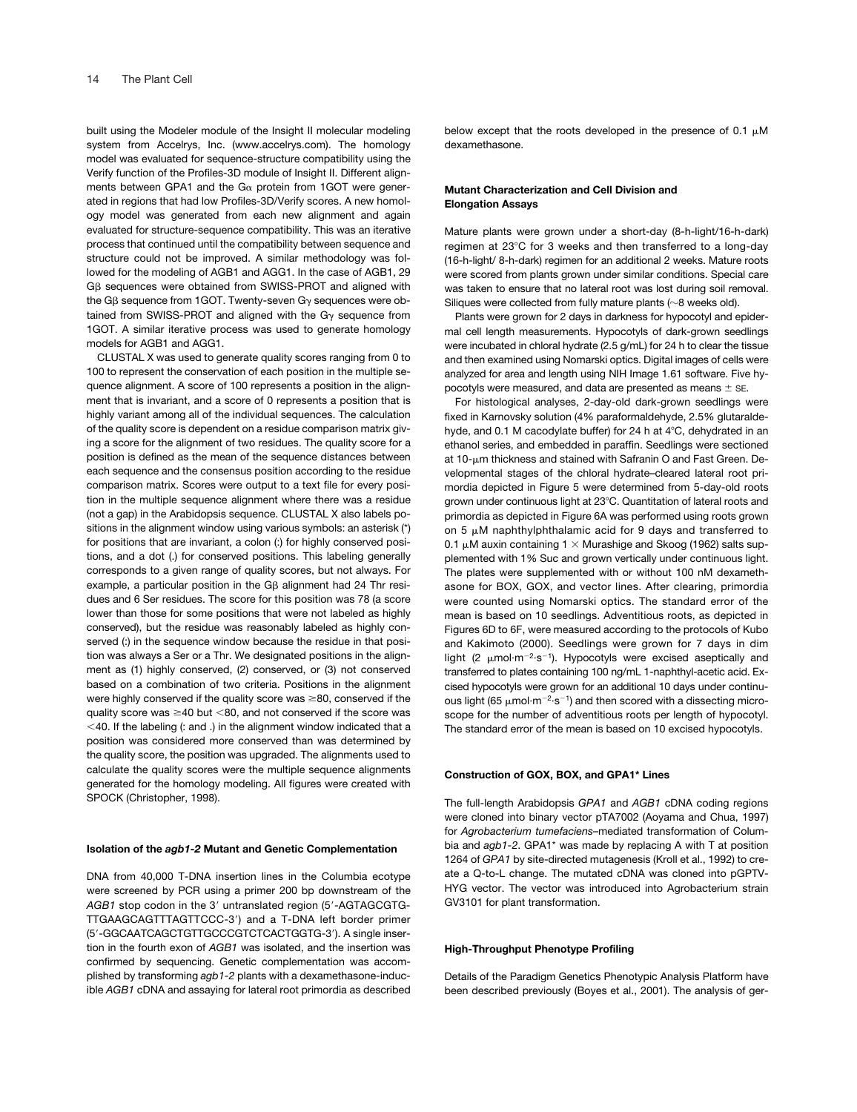built using the Modeler module of the Insight II molecular modeling system from Accelrys, Inc. (www.accelrys.com). The homology model was evaluated for sequence-structure compatibility using the Verify function of the Profiles-3D module of Insight II. Different alignments between GPA1 and the  $Ga$  protein from 1GOT were generated in regions that had low Profiles-3D/Verify scores. A new homology model was generated from each new alignment and again evaluated for structure-sequence compatibility. This was an iterative process that continued until the compatibility between sequence and structure could not be improved. A similar methodology was followed for the modeling of AGB1 and AGG1. In the case of AGB1, 29  $G\beta$  sequences were obtained from SWISS-PROT and aligned with the Gß sequence from 1GOT. Twenty-seven G $_{\rm}$  sequences were obtained from SWISS-PROT and aligned with the  $G<sub>y</sub>$  sequence from 1GOT. A similar iterative process was used to generate homology models for AGB1 and AGG1.

CLUSTAL X was used to generate quality scores ranging from 0 to 100 to represent the conservation of each position in the multiple sequence alignment. A score of 100 represents a position in the alignment that is invariant, and a score of 0 represents a position that is highly variant among all of the individual sequences. The calculation of the quality score is dependent on a residue comparison matrix giving a score for the alignment of two residues. The quality score for a position is defined as the mean of the sequence distances between each sequence and the consensus position according to the residue comparison matrix. Scores were output to a text file for every position in the multiple sequence alignment where there was a residue (not a gap) in the Arabidopsis sequence. CLUSTAL X also labels positions in the alignment window using various symbols: an asterisk (\*) for positions that are invariant, a colon (:) for highly conserved positions, and a dot (.) for conserved positions. This labeling generally corresponds to a given range of quality scores, but not always. For example, a particular position in the G $\beta$  alignment had 24 Thr residues and 6 Ser residues. The score for this position was 78 (a score lower than those for some positions that were not labeled as highly conserved), but the residue was reasonably labeled as highly conserved (:) in the sequence window because the residue in that position was always a Ser or a Thr. We designated positions in the alignment as (1) highly conserved, (2) conserved, or (3) not conserved based on a combination of two criteria. Positions in the alignment were highly conserved if the quality score was 80, conserved if the quality score was  $\geq$ 40 but <80, and not conserved if the score was  $<$  40. If the labeling (: and .) in the alignment window indicated that a position was considered more conserved than was determined by the quality score, the position was upgraded. The alignments used to calculate the quality scores were the multiple sequence alignments generated for the homology modeling. All figures were created with SPOCK (Christopher, 1998).

#### **Isolation of the** *agb1-2* **Mutant and Genetic Complementation**

DNA from 40,000 T-DNA insertion lines in the Columbia ecotype were screened by PCR using a primer 200 bp downstream of the AGB1 stop codon in the 3' untranslated region (5'-AGTAGCGTG-TTGAAGCAGTTTAGTTCCC-3) and a T-DNA left border primer (5-GGCAATCAGCTGTTGCCCGTCTCACTGGTG-3). A single insertion in the fourth exon of *AGB1* was isolated, and the insertion was confirmed by sequencing. Genetic complementation was accomplished by transforming *agb1-2* plants with a dexamethasone-inducible *AGB1* cDNA and assaying for lateral root primordia as described below except that the roots developed in the presence of 0.1  $\mu$ M dexamethasone.

#### **Mutant Characterization and Cell Division and Elongation Assays**

Mature plants were grown under a short-day (8-h-light/16-h-dark) regimen at 23°C for 3 weeks and then transferred to a long-day (16-h-light/ 8-h-dark) regimen for an additional 2 weeks. Mature roots were scored from plants grown under similar conditions. Special care was taken to ensure that no lateral root was lost during soil removal. Siliques were collected from fully mature plants ( $\sim$ 8 weeks old).

Plants were grown for 2 days in darkness for hypocotyl and epidermal cell length measurements. Hypocotyls of dark-grown seedlings were incubated in chloral hydrate (2.5 g/mL) for 24 h to clear the tissue and then examined using Nomarski optics. Digital images of cells were analyzed for area and length using NIH Image 1.61 software. Five hypocotyls were measured, and data are presented as means  $\pm$  SE.

For histological analyses, 2-day-old dark-grown seedlings were fixed in Karnovsky solution (4% paraformaldehyde, 2.5% glutaraldehyde, and 0.1 M cacodylate buffer) for 24 h at  $4^{\circ}$ C, dehydrated in an ethanol series, and embedded in paraffin. Seedlings were sectioned at 10- $\mu$ m thickness and stained with Safranin O and Fast Green. Developmental stages of the chloral hydrate–cleared lateral root primordia depicted in Figure 5 were determined from 5-day-old roots grown under continuous light at 23°C. Quantitation of lateral roots and primordia as depicted in Figure 6A was performed using roots grown on 5  $\mu$ M naphthylphthalamic acid for 9 days and transferred to 0.1 μM auxin containing 1  $\times$  Murashige and Skoog (1962) salts supplemented with 1% Suc and grown vertically under continuous light. The plates were supplemented with or without 100 nM dexamethasone for BOX, GOX, and vector lines. After clearing, primordia were counted using Nomarski optics. The standard error of the mean is based on 10 seedlings. Adventitious roots, as depicted in Figures 6D to 6F, were measured according to the protocols of Kubo and Kakimoto (2000). Seedlings were grown for 7 days in dim light (2  $\mu$ mol·m<sup>-2</sup>·s<sup>-1</sup>). Hypocotyls were excised aseptically and transferred to plates containing 100 ng/mL 1-naphthyl-acetic acid. Excised hypocotyls were grown for an additional 10 days under continuous light (65  $\mu$ mol·m<sup>-2</sup>·s<sup>-1</sup>) and then scored with a dissecting microscope for the number of adventitious roots per length of hypocotyl. The standard error of the mean is based on 10 excised hypocotyls.

#### **Construction of GOX, BOX, and GPA1\* Lines**

The full-length Arabidopsis *GPA1* and *AGB1* cDNA coding regions were cloned into binary vector pTA7002 (Aoyama and Chua, 1997) for *Agrobacterium tumefaciens–*mediated transformation of Columbia and *agb1-2*. GPA1\* was made by replacing A with T at position 1264 of *GPA1* by site-directed mutagenesis (Kroll et al., 1992) to create a Q-to-L change. The mutated cDNA was cloned into pGPTV-HYG vector. The vector was introduced into Agrobacterium strain GV3101 for plant transformation.

## **High-Throughput Phenotype Profiling**

Details of the Paradigm Genetics Phenotypic Analysis Platform have been described previously (Boyes et al., 2001). The analysis of ger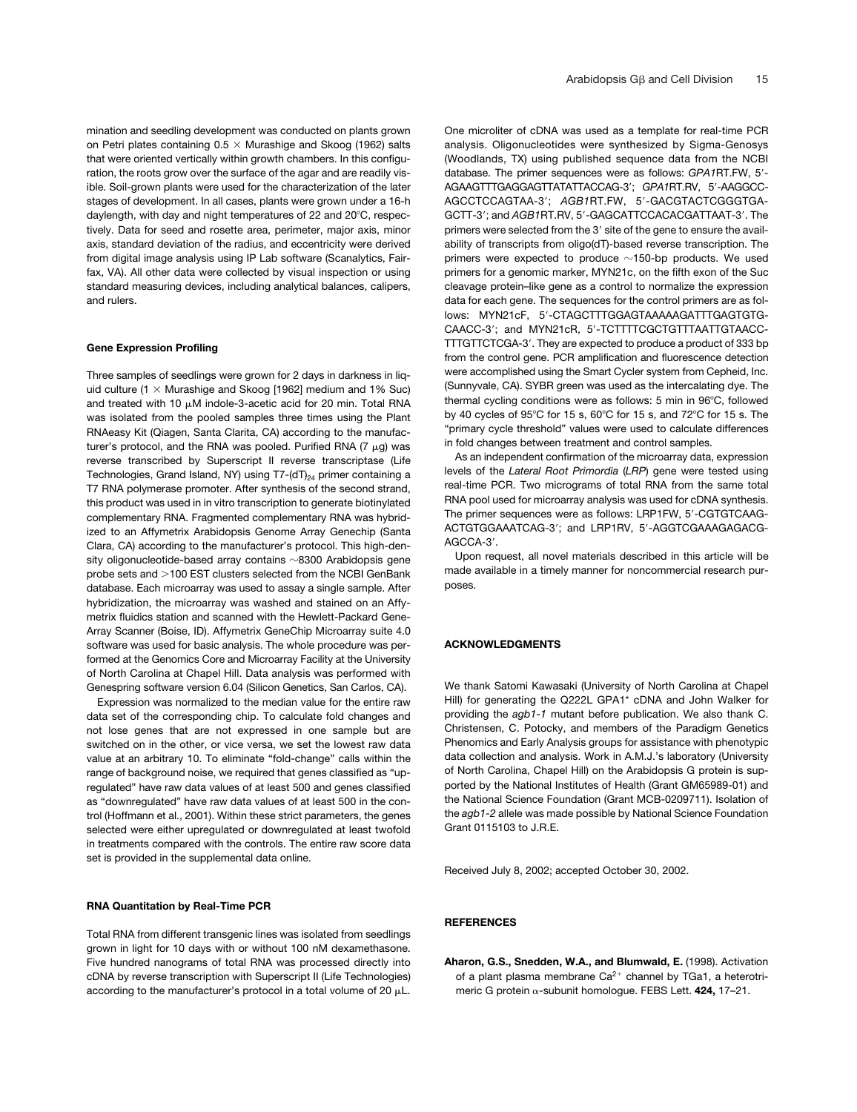mination and seedling development was conducted on plants grown on Petri plates containing  $0.5 \times$  Murashige and Skoog (1962) salts that were oriented vertically within growth chambers. In this configuration, the roots grow over the surface of the agar and are readily visible. Soil-grown plants were used for the characterization of the later stages of development. In all cases, plants were grown under a 16-h daylength, with day and night temperatures of 22 and 20°C, respectively. Data for seed and rosette area, perimeter, major axis, minor axis, standard deviation of the radius, and eccentricity were derived from digital image analysis using IP Lab software (Scanalytics, Fairfax, VA). All other data were collected by visual inspection or using standard measuring devices, including analytical balances, calipers, and rulers.

#### **Gene Expression Profiling**

Three samples of seedlings were grown for 2 days in darkness in liquid culture (1  $\times$  Murashige and Skoog [1962] medium and 1% Suc) and treated with 10  $\mu$ M indole-3-acetic acid for 20 min. Total RNA was isolated from the pooled samples three times using the Plant RNAeasy Kit (Qiagen, Santa Clarita, CA) according to the manufacturer's protocol, and the RNA was pooled. Purified RNA (7  $\mu$ g) was reverse transcribed by Superscript II reverse transcriptase (Life Technologies, Grand Island, NY) using  $T7-(dT)_{24}$  primer containing a T7 RNA polymerase promoter. After synthesis of the second strand, this product was used in in vitro transcription to generate biotinylated complementary RNA. Fragmented complementary RNA was hybridized to an Affymetrix Arabidopsis Genome Array Genechip (Santa Clara, CA) according to the manufacturer's protocol. This high-density oligonucleotide-based array contains  $\sim$ 8300 Arabidopsis gene probe sets and >100 EST clusters selected from the NCBI GenBank database. Each microarray was used to assay a single sample. After hybridization, the microarray was washed and stained on an Affymetrix fluidics station and scanned with the Hewlett-Packard Gene-Array Scanner (Boise, ID). Affymetrix GeneChip Microarray suite 4.0 software was used for basic analysis. The whole procedure was performed at the Genomics Core and Microarray Facility at the University of North Carolina at Chapel Hill. Data analysis was performed with Genespring software version 6.04 (Silicon Genetics, San Carlos, CA).

Expression was normalized to the median value for the entire raw data set of the corresponding chip. To calculate fold changes and not lose genes that are not expressed in one sample but are switched on in the other, or vice versa, we set the lowest raw data value at an arbitrary 10. To eliminate "fold-change" calls within the range of background noise, we required that genes classified as "upregulated" have raw data values of at least 500 and genes classified as "downregulated" have raw data values of at least 500 in the control (Hoffmann et al., 2001). Within these strict parameters, the genes selected were either upregulated or downregulated at least twofold in treatments compared with the controls. The entire raw score data set is provided in the supplemental data online.

#### **RNA Quantitation by Real-Time PCR**

Total RNA from different transgenic lines was isolated from seedlings grown in light for 10 days with or without 100 nM dexamethasone. Five hundred nanograms of total RNA was processed directly into cDNA by reverse transcription with Superscript II (Life Technologies) according to the manufacturer's protocol in a total volume of 20  $\mu$ L.

One microliter of cDNA was used as a template for real-time PCR analysis. Oligonucleotides were synthesized by Sigma-Genosys (Woodlands, TX) using published sequence data from the NCBI database. The primer sequences were as follows: *GPA1*RT.FW, 5- AGAAGTTTGAGGAGTTATATTACCAG-3; *GPA1*RT.RV, 5-AAGGCC-AGCCTCCAGTAA-3; *AGB1*RT.FW, 5-GACGTACTCGGGTGA-GCTT-3'; and *AGB1*RT.RV, 5'-GAGCATTCCACACGATTAAT-3'. The primers were selected from the 3' site of the gene to ensure the availability of transcripts from oligo(dT)-based reverse transcription. The primers were expected to produce  $\sim$ 150-bp products. We used primers for a genomic marker, MYN21c, on the fifth exon of the Suc cleavage protein–like gene as a control to normalize the expression data for each gene. The sequences for the control primers are as follows: MYN21cF, 5-CTAGCTTTGGAGTAAAAAGATTTGAGTGTG-CAACC-3; and MYN21cR, 5-TCTTTTCGCTGTTTAATTGTAACC-TTTGTTCTCGA-3. They are expected to produce a product of 333 bp from the control gene. PCR amplification and fluorescence detection were accomplished using the Smart Cycler system from Cepheid, Inc. (Sunnyvale, CA). SYBR green was used as the intercalating dye. The thermal cycling conditions were as follows: 5 min in 96°C, followed by 40 cycles of 95°C for 15 s, 60°C for 15 s, and 72°C for 15 s. The "primary cycle threshold" values were used to calculate differences in fold changes between treatment and control samples.

As an independent confirmation of the microarray data, expression levels of the *Lateral Root Primordia* (*LRP*) gene were tested using real-time PCR. Two micrograms of total RNA from the same total RNA pool used for microarray analysis was used for cDNA synthesis. The primer sequences were as follows: LRP1FW, 5'-CGTGTCAAG-ACTGTGGAAATCAG-3; and LRP1RV, 5-AGGTCGAAAGAGACG-AGCCA-3'.

Upon request, all novel materials described in this article will be made available in a timely manner for noncommercial research purposes.

#### **ACKNOWLEDGMENTS**

We thank Satomi Kawasaki (University of North Carolina at Chapel Hill) for generating the Q222L GPA1\* cDNA and John Walker for providing the *agb1-1* mutant before publication. We also thank C. Christensen, C. Potocky, and members of the Paradigm Genetics Phenomics and Early Analysis groups for assistance with phenotypic data collection and analysis. Work in A.M.J.'s laboratory (University of North Carolina, Chapel Hill) on the Arabidopsis G protein is supported by the National Institutes of Health (Grant GM65989-01) and the National Science Foundation (Grant MCB-0209711). Isolation of the *agb1-2* allele was made possible by National Science Foundation Grant 0115103 to J.R.E.

Received July 8, 2002; accepted October 30, 2002.

#### **REFERENCES**

**Aharon, G.S., Snedden, W.A., and Blumwald, E.** (1998). Activation of a plant plasma membrane Ca<sup>2+</sup> channel by TGa1, a heterotrimeric G protein α-subunit homologue. FEBS Lett. **424,** 17-21.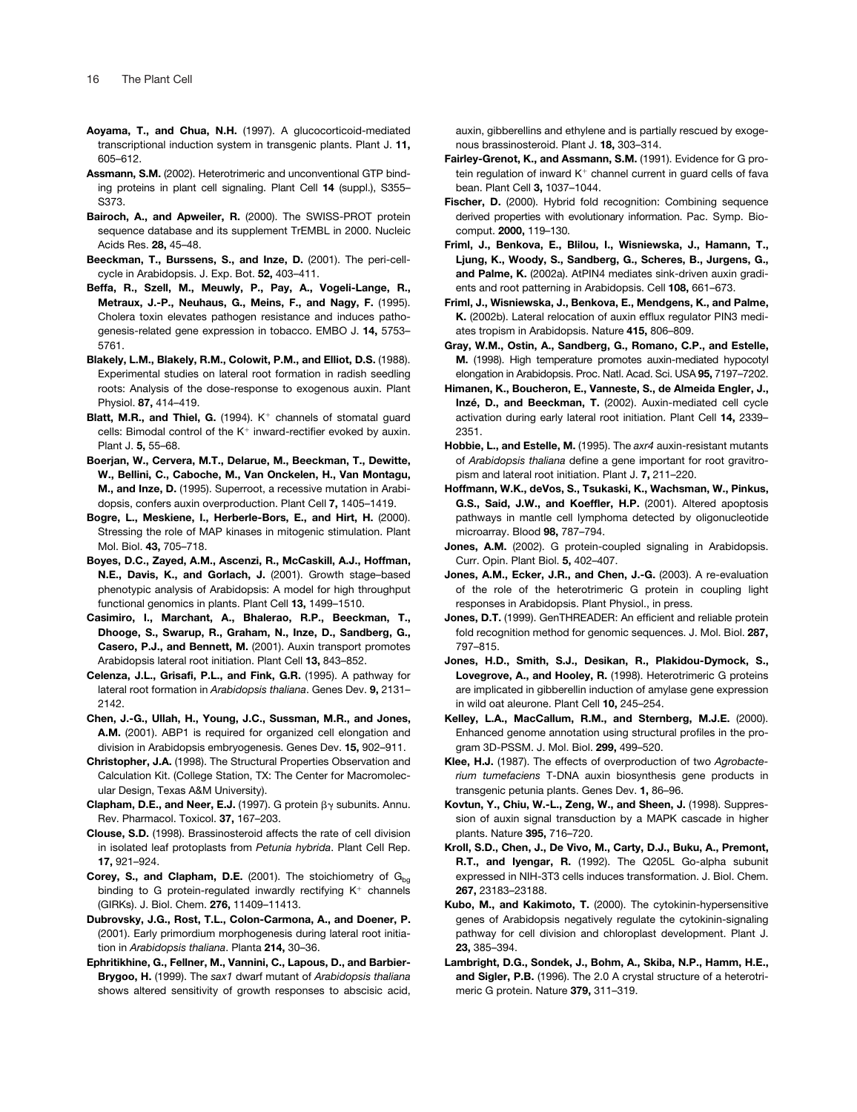- **Aoyama, T., and Chua, N.H.** (1997). A glucocorticoid-mediated transcriptional induction system in transgenic plants. Plant J. **11,** 605–612.
- **Assmann, S.M.** (2002). Heterotrimeric and unconventional GTP binding proteins in plant cell signaling. Plant Cell **14** (suppl.), S355– S373.
- **Bairoch, A., and Apweiler, R.** (2000). The SWISS-PROT protein sequence database and its supplement TrEMBL in 2000. Nucleic Acids Res. **28,** 45–48.
- **Beeckman, T., Burssens, S., and Inze, D.** (2001). The peri-cellcycle in Arabidopsis. J. Exp. Bot. **52,** 403–411.
- **Beffa, R., Szell, M., Meuwly, P., Pay, A., Vogeli-Lange, R., Metraux, J.-P., Neuhaus, G., Meins, F., and Nagy, F.** (1995). Cholera toxin elevates pathogen resistance and induces pathogenesis-related gene expression in tobacco. EMBO J. **14,** 5753– 5761.
- **Blakely, L.M., Blakely, R.M., Colowit, P.M., and Elliot, D.S.** (1988). Experimental studies on lateral root formation in radish seedling roots: Analysis of the dose-response to exogenous auxin. Plant Physiol. **87,** 414–419.
- **Blatt, M.R., and Thiel, G.** (1994). K<sup>+</sup> channels of stomatal guard cells: Bimodal control of the K<sup>+</sup> inward-rectifier evoked by auxin. Plant J. **5,** 55–68.
- **Boerjan, W., Cervera, M.T., Delarue, M., Beeckman, T., Dewitte, W., Bellini, C., Caboche, M., Van Onckelen, H., Van Montagu, M., and Inze, D.** (1995). Superroot, a recessive mutation in Arabidopsis, confers auxin overproduction. Plant Cell **7,** 1405–1419.
- **Bogre, L., Meskiene, I., Herberle-Bors, E., and Hirt, H.** (2000). Stressing the role of MAP kinases in mitogenic stimulation. Plant Mol. Biol. **43,** 705–718.
- **Boyes, D.C., Zayed, A.M., Ascenzi, R., McCaskill, A.J., Hoffman, N.E., Davis, K., and Gorlach, J.** (2001). Growth stage–based phenotypic analysis of Arabidopsis: A model for high throughput functional genomics in plants. Plant Cell **13,** 1499–1510.
- **Casimiro, I., Marchant, A., Bhalerao, R.P., Beeckman, T., Dhooge, S., Swarup, R., Graham, N., Inze, D., Sandberg, G., Casero, P.J., and Bennett, M.** (2001). Auxin transport promotes Arabidopsis lateral root initiation. Plant Cell **13,** 843–852.
- **Celenza, J.L., Grisafi, P.L., and Fink, G.R.** (1995). A pathway for lateral root formation in *Arabidopsis thaliana*. Genes Dev. **9,** 2131– 2142.
- **Chen, J.-G., Ullah, H., Young, J.C., Sussman, M.R., and Jones, A.M.** (2001). ABP1 is required for organized cell elongation and division in Arabidopsis embryogenesis. Genes Dev. **15,** 902–911.
- **Christopher, J.A.** (1998). The Structural Properties Observation and Calculation Kit. (College Station, TX: The Center for Macromolecular Design, Texas A&M University).
- **Clapham, D.E., and Neer, E.J.** (1997). G protein  $\beta\gamma$  subunits. Annu. Rev. Pharmacol. Toxicol. **37,** 167–203.
- **Clouse, S.D.** (1998). Brassinosteroid affects the rate of cell division in isolated leaf protoplasts from *Petunia hybrida*. Plant Cell Rep. **17,** 921–924.
- **Corey, S., and Clapham, D.E.** (2001). The stoichiometry of G<sub>bq</sub> binding to G protein-regulated inwardly rectifying  $K^+$  channels (GIRKs). J. Biol. Chem. **276,** 11409–11413.
- **Dubrovsky, J.G., Rost, T.L., Colon-Carmona, A., and Doener, P.** (2001). Early primordium morphogenesis during lateral root initiation in *Arabidopsis thaliana*. Planta **214,** 30–36.
- **Ephritikhine, G., Fellner, M., Vannini, C., Lapous, D., and Barbier-Brygoo, H.** (1999). The *sax1* dwarf mutant of *Arabidopsis thaliana* shows altered sensitivity of growth responses to abscisic acid,

auxin, gibberellins and ethylene and is partially rescued by exogenous brassinosteroid. Plant J. **18,** 303–314.

- **Fairley-Grenot, K., and Assmann, S.M.** (1991). Evidence for G protein regulation of inward  $K^+$  channel current in guard cells of fava bean. Plant Cell **3,** 1037–1044.
- Fischer, D. (2000). Hybrid fold recognition: Combining sequence derived properties with evolutionary information. Pac. Symp. Biocomput. **2000,** 119–130.
- **Friml, J., Benkova, E., Blilou, I., Wisniewska, J., Hamann, T., Ljung, K., Woody, S., Sandberg, G., Scheres, B., Jurgens, G., and Palme, K.** (2002a). AtPIN4 mediates sink-driven auxin gradients and root patterning in Arabidopsis. Cell **108,** 661–673.
- **Friml, J., Wisniewska, J., Benkova, E., Mendgens, K., and Palme, K.** (2002b). Lateral relocation of auxin efflux regulator PIN3 mediates tropism in Arabidopsis. Nature **415,** 806–809.
- **Gray, W.M., Ostin, A., Sandberg, G., Romano, C.P., and Estelle, M.** (1998). High temperature promotes auxin-mediated hypocotyl elongation in Arabidopsis. Proc. Natl. Acad. Sci. USA **95,** 7197–7202.
- **Himanen, K., Boucheron, E., Vanneste, S., de Almeida Engler, J., Inzé, D., and Beeckman, T.** (2002). Auxin-mediated cell cycle activation during early lateral root initiation. Plant Cell **14,** 2339– 2351.
- **Hobbie, L., and Estelle, M.** (1995). The *axr4* auxin-resistant mutants of *Arabidopsis thaliana* define a gene important for root gravitropism and lateral root initiation. Plant J. **7,** 211–220.
- **Hoffmann, W.K., deVos, S., Tsukaski, K., Wachsman, W., Pinkus, G.S., Said, J.W., and Koeffler, H.P.** (2001). Altered apoptosis pathways in mantle cell lymphoma detected by oligonucleotide microarray. Blood **98,** 787–794.
- **Jones, A.M.** (2002). G protein-coupled signaling in Arabidopsis. Curr. Opin. Plant Biol. **5,** 402–407.
- **Jones, A.M., Ecker, J.R., and Chen, J.-G.** (2003). A re-evaluation of the role of the heterotrimeric G protein in coupling light responses in Arabidopsis. Plant Physiol., in press.
- **Jones, D.T.** (1999). GenTHREADER: An efficient and reliable protein fold recognition method for genomic sequences. J. Mol. Biol. **287,** 797–815.
- **Jones, H.D., Smith, S.J., Desikan, R., Plakidou-Dymock, S., Lovegrove, A., and Hooley, R.** (1998). Heterotrimeric G proteins are implicated in gibberellin induction of amylase gene expression in wild oat aleurone. Plant Cell **10,** 245–254.
- **Kelley, L.A., MacCallum, R.M., and Sternberg, M.J.E.** (2000). Enhanced genome annotation using structural profiles in the program 3D-PSSM. J. Mol. Biol. **299,** 499–520.
- **Klee, H.J.** (1987). The effects of overproduction of two *Agrobacterium tumefaciens* T-DNA auxin biosynthesis gene products in transgenic petunia plants. Genes Dev. **1,** 86–96.
- **Kovtun, Y., Chiu, W.-L., Zeng, W., and Sheen, J.** (1998). Suppression of auxin signal transduction by a MAPK cascade in higher plants. Nature **395,** 716–720.
- **Kroll, S.D., Chen, J., De Vivo, M., Carty, D.J., Buku, A., Premont, R.T., and Iyengar, R.** (1992). The Q205L Go-alpha subunit expressed in NIH-3T3 cells induces transformation. J. Biol. Chem. **267,** 23183–23188.
- **Kubo, M., and Kakimoto, T.** (2000). The cytokinin-hypersensitive genes of Arabidopsis negatively regulate the cytokinin-signaling pathway for cell division and chloroplast development. Plant J. **23,** 385–394.
- **Lambright, D.G., Sondek, J., Bohm, A., Skiba, N.P., Hamm, H.E., and Sigler, P.B.** (1996). The 2.0 A crystal structure of a heterotrimeric G protein. Nature **379,** 311–319.